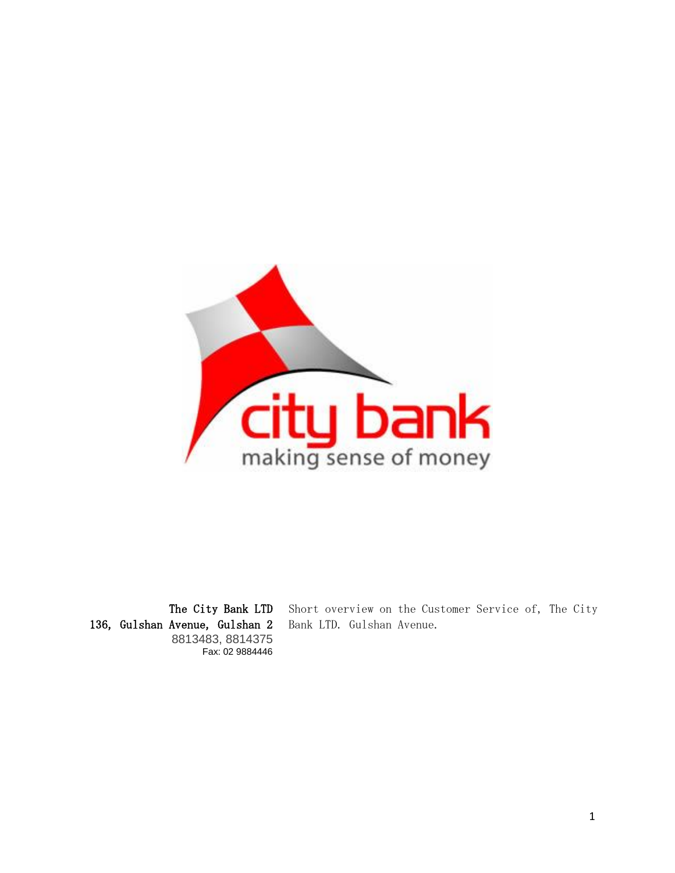

The City Bank LTD 136, Gulshan Avenue, Gulshan 2 8813483, 8814375 Fax: 02 9884446

Short overview on the Customer Service of, The City Bank LTD. Gulshan Avenue.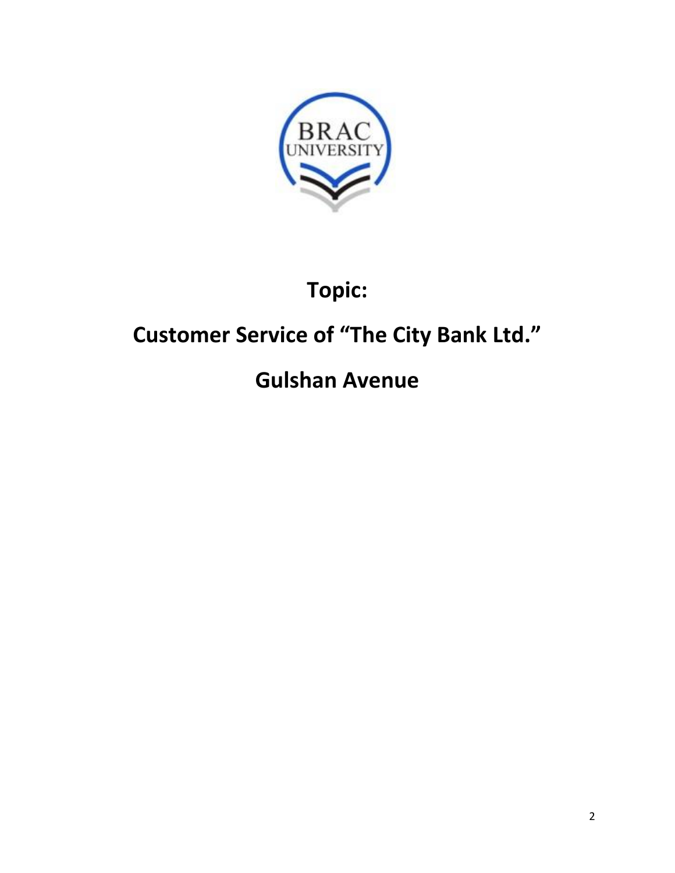

# **Topic:**

# **Customer Service of "The City Bank Ltd."**

# **Gulshan Avenue**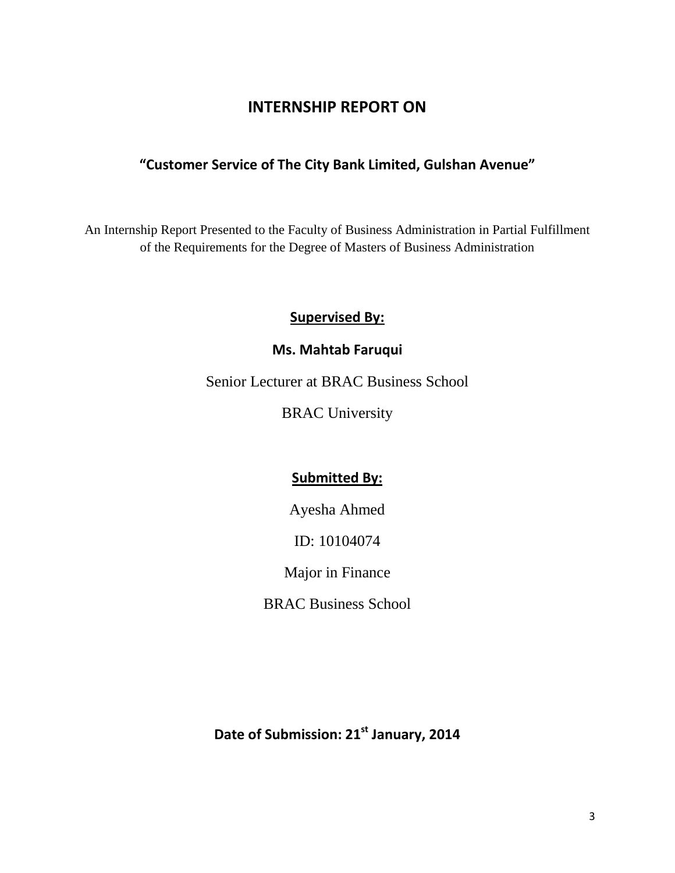### **INTERNSHIP REPORT ON**

### **"Customer Service of The City Bank Limited, Gulshan Avenue"**

An Internship Report Presented to the Faculty of Business Administration in Partial Fulfillment of the Requirements for the Degree of Masters of Business Administration

### **Supervised By:**

### **Ms. Mahtab Faruqui**

Senior Lecturer at BRAC Business School

BRAC University

### **Submitted By:**

Ayesha Ahmed

ID: 10104074

Major in Finance

BRAC Business School

**Date of Submission: 21st January, 2014**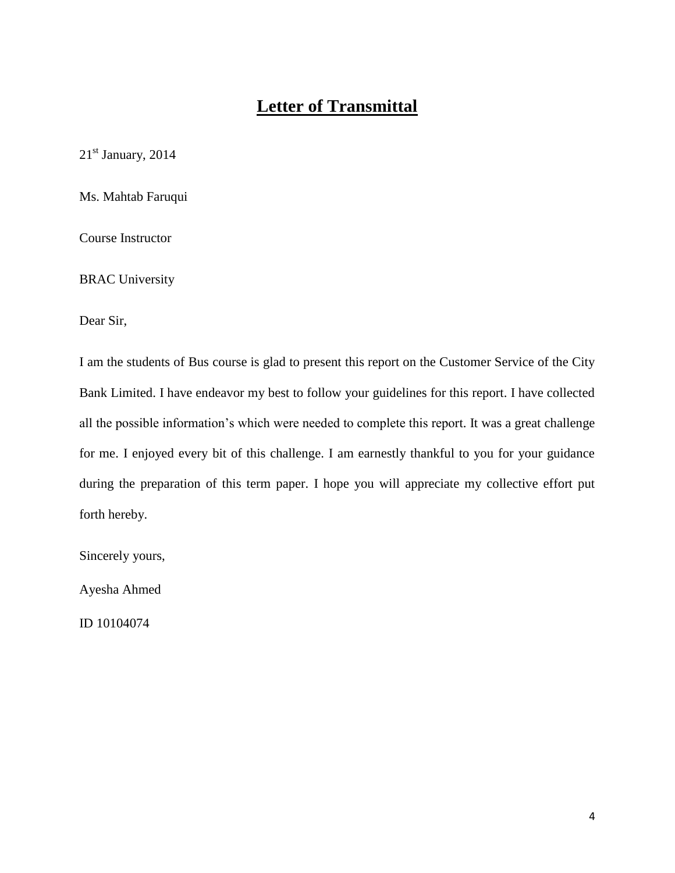# **Letter of Transmittal**

 $21<sup>st</sup>$  January, 2014

Ms. Mahtab Faruqui

Course Instructor

BRAC University

Dear Sir,

I am the students of Bus course is glad to present this report on the Customer Service of the City Bank Limited. I have endeavor my best to follow your guidelines for this report. I have collected all the possible information"s which were needed to complete this report. It was a great challenge for me. I enjoyed every bit of this challenge. I am earnestly thankful to you for your guidance during the preparation of this term paper. I hope you will appreciate my collective effort put forth hereby.

Sincerely yours,

Ayesha Ahmed

ID 10104074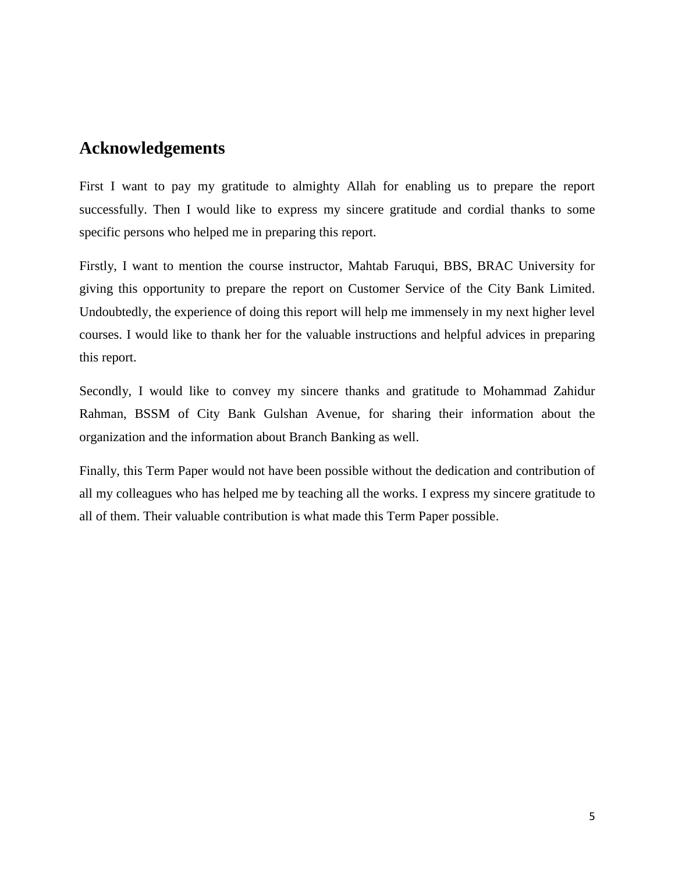### **Acknowledgements**

First I want to pay my gratitude to almighty Allah for enabling us to prepare the report successfully. Then I would like to express my sincere gratitude and cordial thanks to some specific persons who helped me in preparing this report.

Firstly, I want to mention the course instructor, Mahtab Faruqui, BBS, BRAC University for giving this opportunity to prepare the report on Customer Service of the City Bank Limited. Undoubtedly, the experience of doing this report will help me immensely in my next higher level courses. I would like to thank her for the valuable instructions and helpful advices in preparing this report.

Secondly, I would like to convey my sincere thanks and gratitude to Mohammad Zahidur Rahman, BSSM of City Bank Gulshan Avenue, for sharing their information about the organization and the information about Branch Banking as well.

Finally, this Term Paper would not have been possible without the dedication and contribution of all my colleagues who has helped me by teaching all the works. I express my sincere gratitude to all of them. Their valuable contribution is what made this Term Paper possible.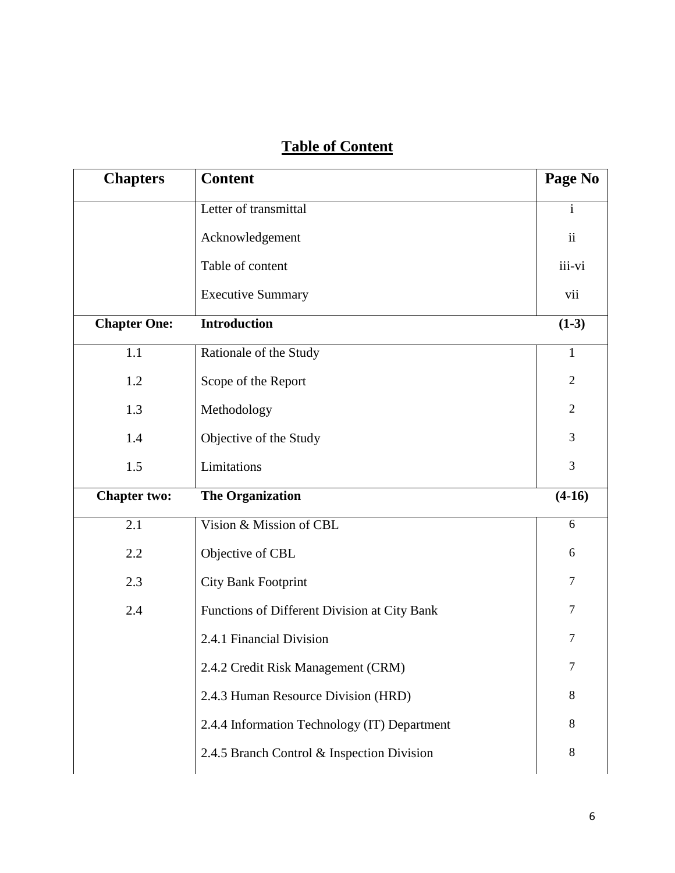# **Table of Content**

| Letter of transmittal<br>$\mathbf{i}$<br>$\mathbf{ii}$<br>iii-vi<br><b>Executive Summary</b><br>vii<br>$(1-3)$<br>Rationale of the Study<br>$\mathbf{1}$<br>$\overline{2}$ |                                                                                                                                                                                                                                                                                                                                                               |
|----------------------------------------------------------------------------------------------------------------------------------------------------------------------------|---------------------------------------------------------------------------------------------------------------------------------------------------------------------------------------------------------------------------------------------------------------------------------------------------------------------------------------------------------------|
|                                                                                                                                                                            |                                                                                                                                                                                                                                                                                                                                                               |
|                                                                                                                                                                            |                                                                                                                                                                                                                                                                                                                                                               |
|                                                                                                                                                                            |                                                                                                                                                                                                                                                                                                                                                               |
|                                                                                                                                                                            |                                                                                                                                                                                                                                                                                                                                                               |
|                                                                                                                                                                            |                                                                                                                                                                                                                                                                                                                                                               |
|                                                                                                                                                                            |                                                                                                                                                                                                                                                                                                                                                               |
|                                                                                                                                                                            |                                                                                                                                                                                                                                                                                                                                                               |
| $\overline{2}$                                                                                                                                                             |                                                                                                                                                                                                                                                                                                                                                               |
| 3                                                                                                                                                                          |                                                                                                                                                                                                                                                                                                                                                               |
| 3                                                                                                                                                                          |                                                                                                                                                                                                                                                                                                                                                               |
| $(4-16)$                                                                                                                                                                   |                                                                                                                                                                                                                                                                                                                                                               |
| 6                                                                                                                                                                          |                                                                                                                                                                                                                                                                                                                                                               |
| 6                                                                                                                                                                          |                                                                                                                                                                                                                                                                                                                                                               |
| $\tau$                                                                                                                                                                     |                                                                                                                                                                                                                                                                                                                                                               |
| $\tau$                                                                                                                                                                     |                                                                                                                                                                                                                                                                                                                                                               |
| $\tau$                                                                                                                                                                     |                                                                                                                                                                                                                                                                                                                                                               |
| 7                                                                                                                                                                          |                                                                                                                                                                                                                                                                                                                                                               |
| 8                                                                                                                                                                          |                                                                                                                                                                                                                                                                                                                                                               |
| 8                                                                                                                                                                          |                                                                                                                                                                                                                                                                                                                                                               |
| $8\,$                                                                                                                                                                      |                                                                                                                                                                                                                                                                                                                                                               |
|                                                                                                                                                                            | Scope of the Report<br>Objective of the Study<br>Vision & Mission of CBL<br><b>City Bank Footprint</b><br>Functions of Different Division at City Bank<br>2.4.1 Financial Division<br>2.4.2 Credit Risk Management (CRM)<br>2.4.3 Human Resource Division (HRD)<br>2.4.4 Information Technology (IT) Department<br>2.4.5 Branch Control & Inspection Division |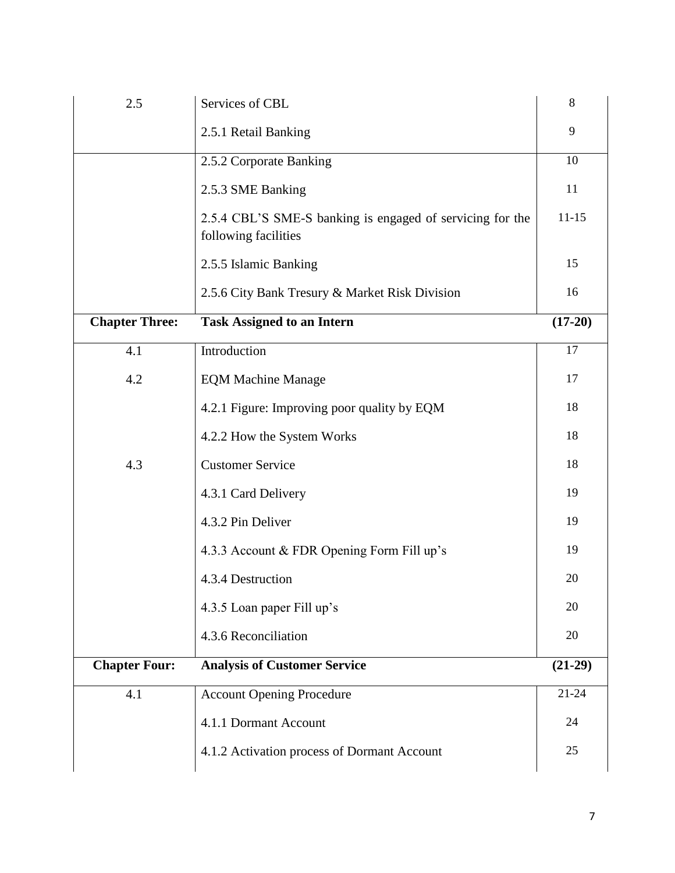| Services of CBL                                                                   | 8         |  |  |  |
|-----------------------------------------------------------------------------------|-----------|--|--|--|
| 2.5.1 Retail Banking                                                              | 9         |  |  |  |
| 2.5.2 Corporate Banking                                                           | 10        |  |  |  |
| 2.5.3 SME Banking                                                                 | 11        |  |  |  |
| 2.5.4 CBL'S SME-S banking is engaged of servicing for the<br>following facilities | $11 - 15$ |  |  |  |
| 2.5.5 Islamic Banking                                                             | 15        |  |  |  |
| 2.5.6 City Bank Tresury & Market Risk Division                                    | 16        |  |  |  |
| <b>Chapter Three:</b><br><b>Task Assigned to an Intern</b>                        |           |  |  |  |
| Introduction                                                                      | 17        |  |  |  |
| <b>EQM Machine Manage</b>                                                         | 17        |  |  |  |
| 4.2.1 Figure: Improving poor quality by EQM                                       | 18        |  |  |  |
| 4.2.2 How the System Works                                                        | 18        |  |  |  |
| <b>Customer Service</b>                                                           | 18        |  |  |  |
| 4.3.1 Card Delivery                                                               | 19        |  |  |  |
| 4.3.2 Pin Deliver                                                                 | 19        |  |  |  |
| 4.3.3 Account & FDR Opening Form Fill up's                                        | 19        |  |  |  |
| 4.3.4 Destruction                                                                 | 20        |  |  |  |
| 4.3.5 Loan paper Fill up's                                                        | 20        |  |  |  |
| 4.3.6 Reconciliation                                                              | 20        |  |  |  |
| <b>Analysis of Customer Service</b>                                               | $(21-29)$ |  |  |  |
| <b>Account Opening Procedure</b>                                                  | $21 - 24$ |  |  |  |
| 4.1.1 Dormant Account                                                             | 24        |  |  |  |
| 4.1.2 Activation process of Dormant Account                                       | 25        |  |  |  |
|                                                                                   |           |  |  |  |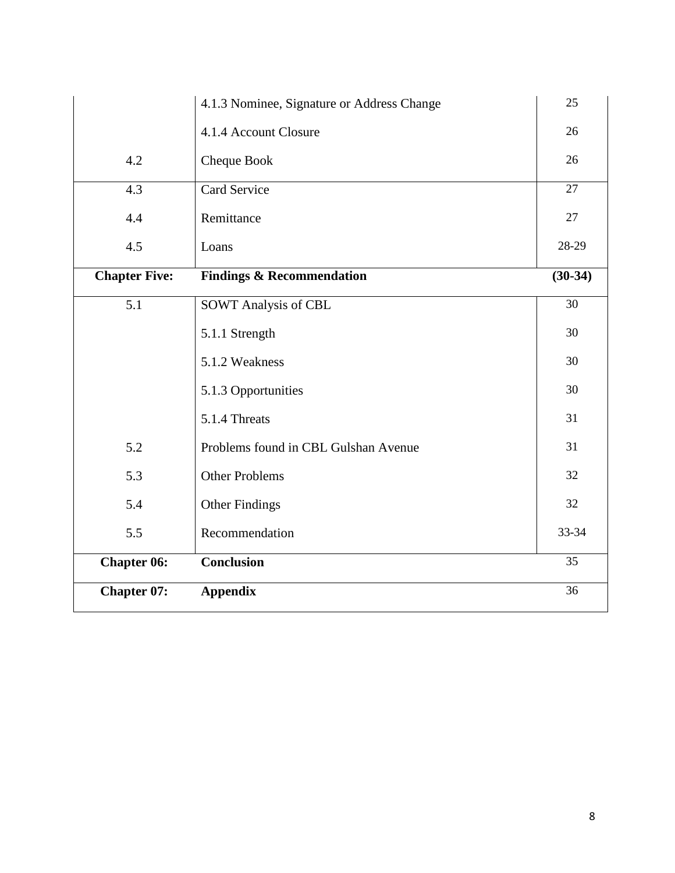|                      | 4.1.3 Nominee, Signature or Address Change | 25              |  |  |
|----------------------|--------------------------------------------|-----------------|--|--|
|                      | 4.1.4 Account Closure                      | 26              |  |  |
| 4.2                  | Cheque Book                                | 26              |  |  |
| 4.3                  | Card Service                               | $\overline{27}$ |  |  |
| 4.4                  | Remittance                                 | 27              |  |  |
| 4.5                  | Loans                                      |                 |  |  |
| <b>Chapter Five:</b> | <b>Findings &amp; Recommendation</b>       | $(30-34)$       |  |  |
| $\overline{5.1}$     | <b>SOWT Analysis of CBL</b>                | $\overline{30}$ |  |  |
|                      | 5.1.1 Strength                             | 30              |  |  |
|                      | 5.1.2 Weakness                             | 30              |  |  |
|                      | 5.1.3 Opportunities                        | 30              |  |  |
|                      | 5.1.4 Threats                              | 31              |  |  |
| 5.2                  | Problems found in CBL Gulshan Avenue       | 31              |  |  |
| 5.3                  | <b>Other Problems</b>                      | 32              |  |  |
| 5.4                  | <b>Other Findings</b>                      |                 |  |  |
| 5.5                  | Recommendation                             |                 |  |  |
| <b>Chapter 06:</b>   | <b>Conclusion</b>                          | 35              |  |  |
| <b>Chapter 07:</b>   | <b>Appendix</b>                            | 36              |  |  |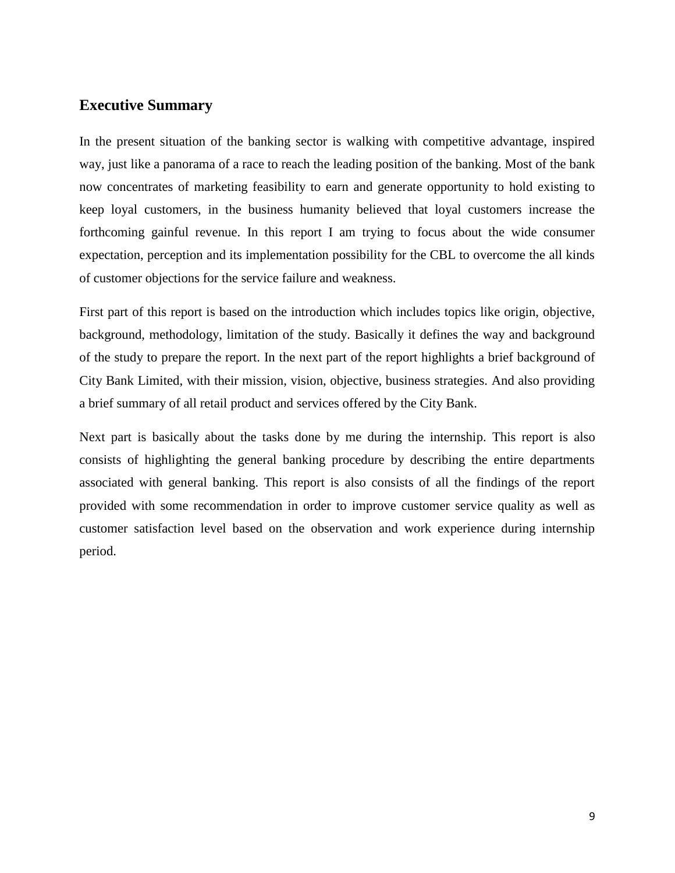### **Executive Summary**

In the present situation of the banking sector is walking with competitive advantage, inspired way, just like a panorama of a race to reach the leading position of the banking. Most of the bank now concentrates of marketing feasibility to earn and generate opportunity to hold existing to keep loyal customers, in the business humanity believed that loyal customers increase the forthcoming gainful revenue. In this report I am trying to focus about the wide consumer expectation, perception and its implementation possibility for the CBL to overcome the all kinds of customer objections for the service failure and weakness.

First part of this report is based on the introduction which includes topics like origin, objective, background, methodology, limitation of the study. Basically it defines the way and background of the study to prepare the report. In the next part of the report highlights a brief background of City Bank Limited, with their mission, vision, objective, business strategies. And also providing a brief summary of all retail product and services offered by the City Bank.

Next part is basically about the tasks done by me during the internship. This report is also consists of highlighting the general banking procedure by describing the entire departments associated with general banking. This report is also consists of all the findings of the report provided with some recommendation in order to improve customer service quality as well as customer satisfaction level based on the observation and work experience during internship period.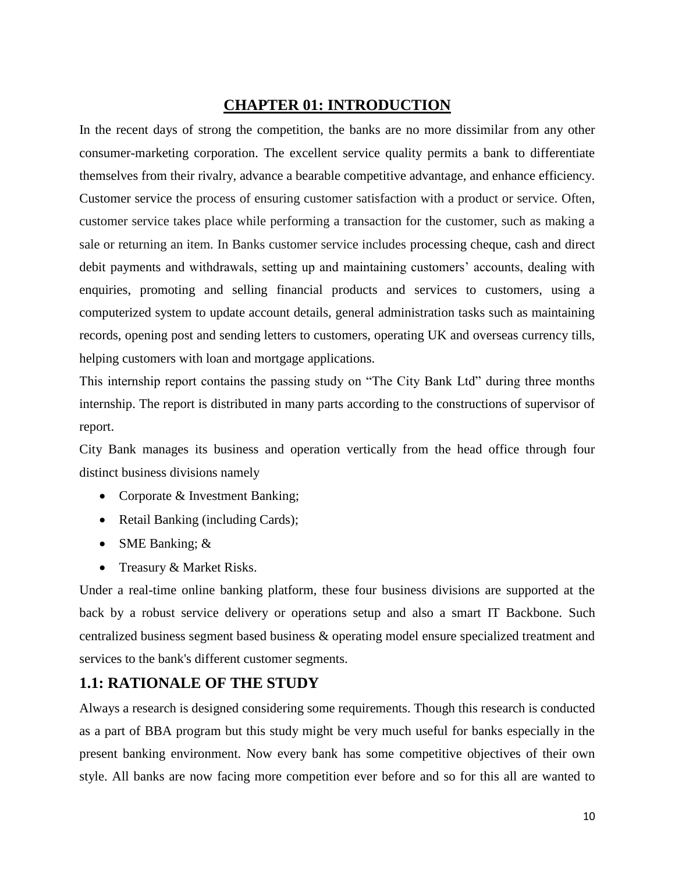### **CHAPTER 01: INTRODUCTION**

In the recent days of strong the competition, the banks are no more dissimilar from any other consumer-marketing corporation. The excellent service quality permits a bank to differentiate themselves from their rivalry, advance a bearable competitive advantage, and enhance efficiency. Customer service the process of ensuring customer satisfaction with a product or service. Often, customer service takes place while performing a transaction for the customer, such as making a sale or returning an item. In Banks customer service includes processing cheque, cash and direct debit payments and withdrawals, setting up and maintaining customers' accounts, dealing with enquiries, promoting and selling financial products and services to customers, using a computerized system to update account details, general administration tasks such as maintaining records, opening post and sending letters to customers, operating UK and overseas currency tills, helping customers with loan and mortgage applications.

This internship report contains the passing study on "The City Bank Ltd" during three months internship. The report is distributed in many parts according to the constructions of supervisor of report.

City Bank manages its business and operation vertically from the head office through four distinct business divisions namely

- Corporate & Investment Banking;
- Retail Banking (including Cards);
- SME Banking;  $&$
- Treasury & Market Risks.

Under a real-time online banking platform, these four business divisions are supported at the back by a robust service delivery or operations setup and also a smart IT Backbone. Such centralized business segment based business & operating model ensure specialized treatment and services to the bank's different customer segments.

### **1.1: RATIONALE OF THE STUDY**

Always a research is designed considering some requirements. Though this research is conducted as a part of BBA program but this study might be very much useful for banks especially in the present banking environment. Now every bank has some competitive objectives of their own style. All banks are now facing more competition ever before and so for this all are wanted to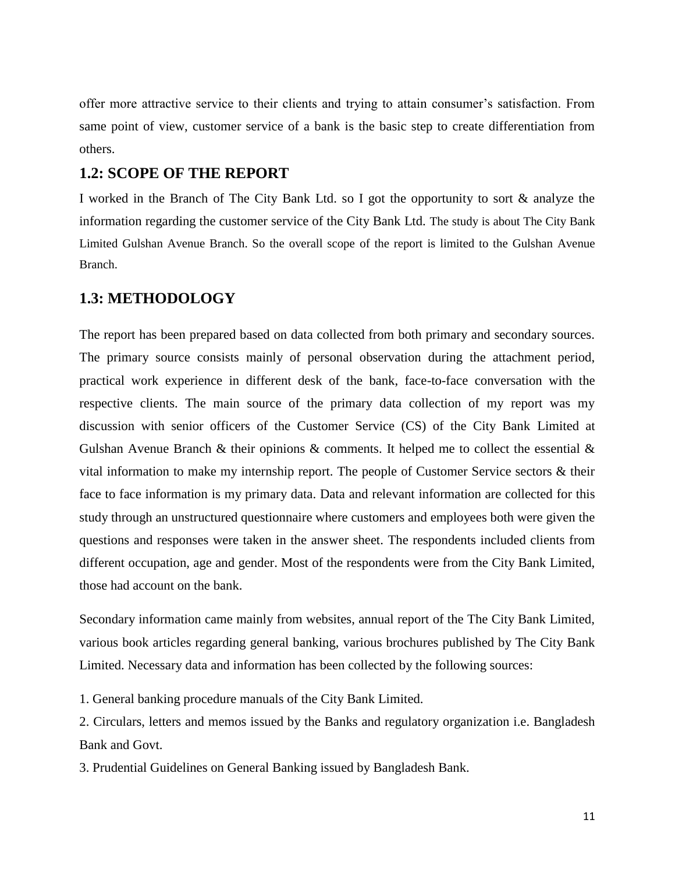offer more attractive service to their clients and trying to attain consumer"s satisfaction. From same point of view, customer service of a bank is the basic step to create differentiation from others.

### **1.2: SCOPE OF THE REPORT**

I worked in the Branch of The City Bank Ltd. so I got the opportunity to sort & analyze the information regarding the customer service of the City Bank Ltd. The study is about The City Bank Limited Gulshan Avenue Branch. So the overall scope of the report is limited to the Gulshan Avenue Branch.

#### **1.3: METHODOLOGY**

The report has been prepared based on data collected from both primary and secondary sources. The primary source consists mainly of personal observation during the attachment period, practical work experience in different desk of the bank, face-to-face conversation with the respective clients. The main source of the primary data collection of my report was my discussion with senior officers of the Customer Service (CS) of the City Bank Limited at Gulshan Avenue Branch & their opinions  $\&$  comments. It helped me to collect the essential  $\&$ vital information to make my internship report. The people of Customer Service sectors & their face to face information is my primary data. Data and relevant information are collected for this study through an unstructured questionnaire where customers and employees both were given the questions and responses were taken in the answer sheet. The respondents included clients from different occupation, age and gender. Most of the respondents were from the City Bank Limited, those had account on the bank.

Secondary information came mainly from websites, annual report of the The City Bank Limited, various book articles regarding general banking, various brochures published by The City Bank Limited. Necessary data and information has been collected by the following sources:

1. General banking procedure manuals of the City Bank Limited.

2. Circulars, letters and memos issued by the Banks and regulatory organization i.e. Bangladesh Bank and Govt.

3. Prudential Guidelines on General Banking issued by Bangladesh Bank.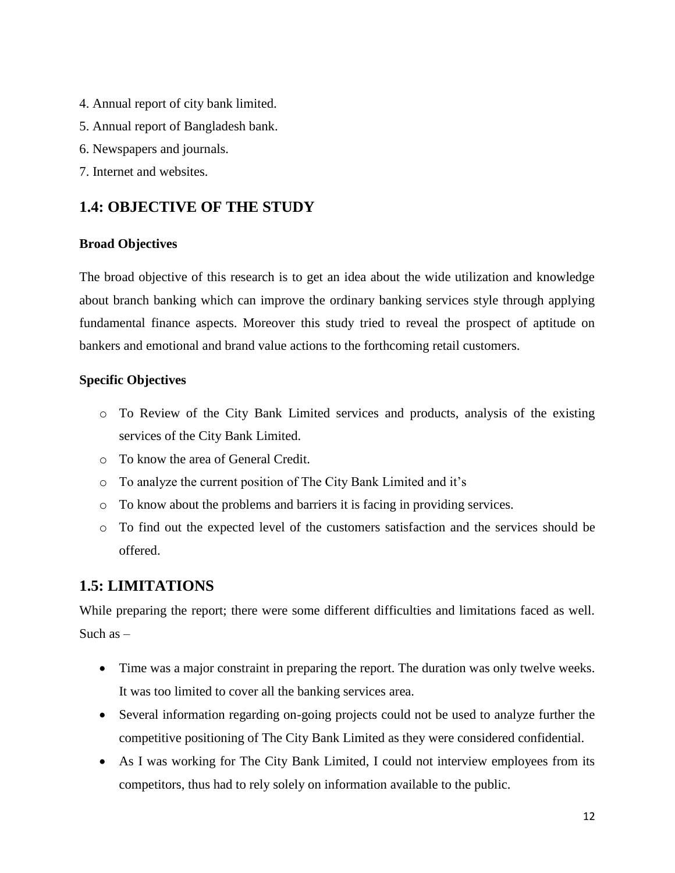- 4. Annual report of city bank limited.
- 5. Annual report of Bangladesh bank.
- 6. Newspapers and journals.
- 7. Internet and websites.

### **1.4: OBJECTIVE OF THE STUDY**

#### **Broad Objectives**

The broad objective of this research is to get an idea about the wide utilization and knowledge about branch banking which can improve the ordinary banking services style through applying fundamental finance aspects. Moreover this study tried to reveal the prospect of aptitude on bankers and emotional and brand value actions to the forthcoming retail customers.

### **Specific Objectives**

- o To Review of the City Bank Limited services and products, analysis of the existing services of the City Bank Limited.
- o To know the area of General Credit.
- o To analyze the current position of The City Bank Limited and it"s
- o To know about the problems and barriers it is facing in providing services.
- o To find out the expected level of the customers satisfaction and the services should be offered.

### **1.5: LIMITATIONS**

While preparing the report; there were some different difficulties and limitations faced as well. Such  $as -$ 

- Time was a major constraint in preparing the report. The duration was only twelve weeks. It was too limited to cover all the banking services area.
- Several information regarding on-going projects could not be used to analyze further the competitive positioning of The City Bank Limited as they were considered confidential.
- As I was working for The City Bank Limited, I could not interview employees from its competitors, thus had to rely solely on information available to the public.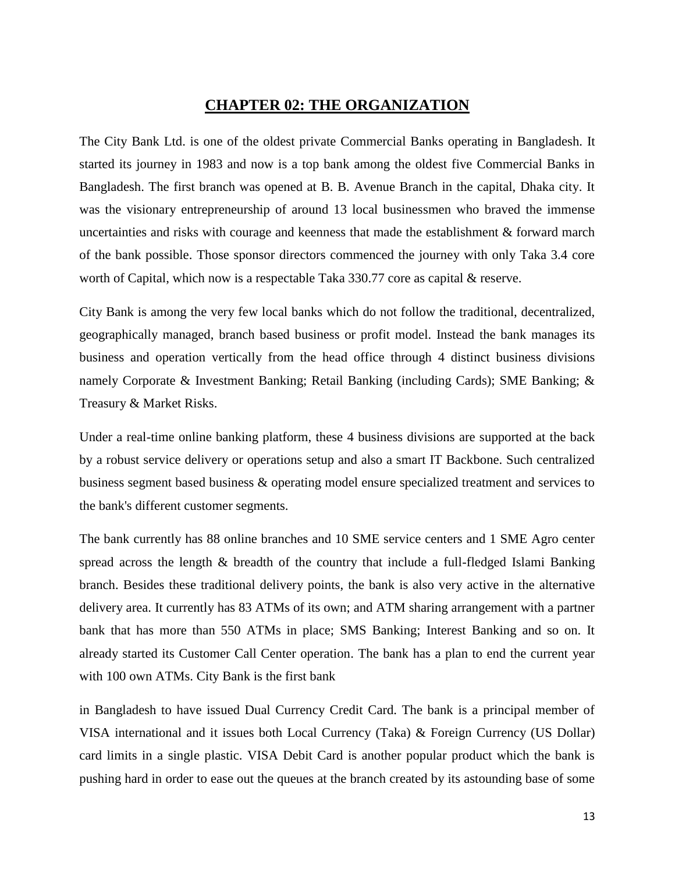### **CHAPTER 02: THE ORGANIZATION**

The City Bank Ltd. is one of the oldest private Commercial Banks operating in Bangladesh. It started its journey in 1983 and now is a top bank among the oldest five Commercial Banks in Bangladesh. The first branch was opened at B. B. Avenue Branch in the capital, Dhaka city. It was the visionary entrepreneurship of around 13 local businessmen who braved the immense uncertainties and risks with courage and keenness that made the establishment & forward march of the bank possible. Those sponsor directors commenced the journey with only Taka 3.4 core worth of Capital, which now is a respectable Taka 330.77 core as capital & reserve.

City Bank is among the very few local banks which do not follow the traditional, decentralized, geographically managed, branch based business or profit model. Instead the bank manages its business and operation vertically from the head office through 4 distinct business divisions namely Corporate & Investment Banking; Retail Banking (including Cards); SME Banking; & Treasury & Market Risks.

Under a real-time online banking platform, these 4 business divisions are supported at the back by a robust service delivery or operations setup and also a smart IT Backbone. Such centralized business segment based business & operating model ensure specialized treatment and services to the bank's different customer segments.

The bank currently has 88 online branches and 10 SME service centers and 1 SME Agro center spread across the length & breadth of the country that include a full-fledged Islami Banking branch. Besides these traditional delivery points, the bank is also very active in the alternative delivery area. It currently has 83 ATMs of its own; and ATM sharing arrangement with a partner bank that has more than 550 ATMs in place; SMS Banking; Interest Banking and so on. It already started its Customer Call Center operation. The bank has a plan to end the current year with 100 own ATMs. City Bank is the first bank

in Bangladesh to have issued Dual Currency Credit Card. The bank is a principal member of VISA international and it issues both Local Currency (Taka) & Foreign Currency (US Dollar) card limits in a single plastic. VISA Debit Card is another popular product which the bank is pushing hard in order to ease out the queues at the branch created by its astounding base of some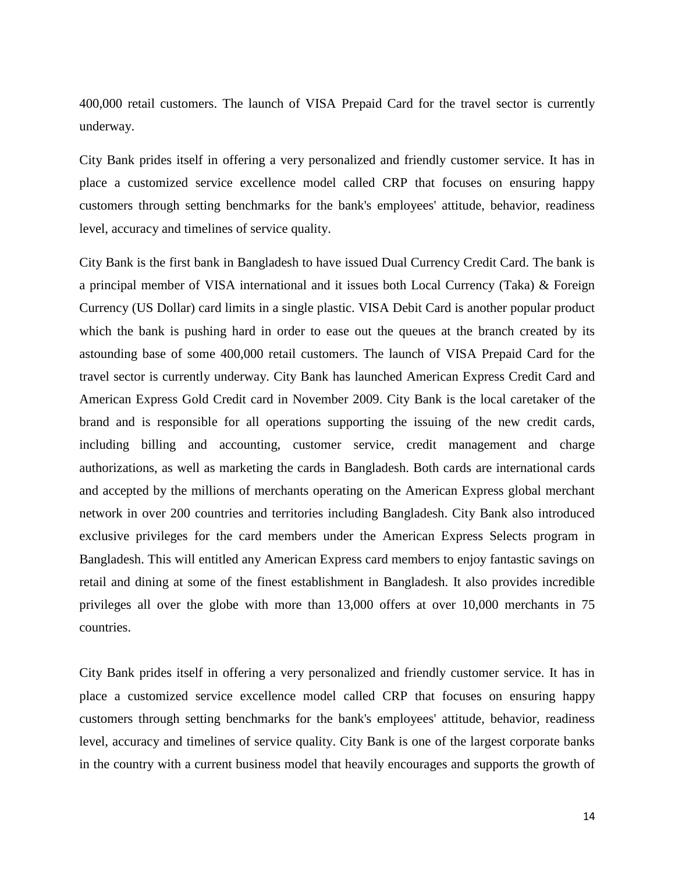400,000 retail customers. The launch of VISA Prepaid Card for the travel sector is currently underway.

City Bank prides itself in offering a very personalized and friendly customer service. It has in place a customized service excellence model called CRP that focuses on ensuring happy customers through setting benchmarks for the bank's employees' attitude, behavior, readiness level, accuracy and timelines of service quality.

City Bank is the first bank in Bangladesh to have issued Dual Currency Credit Card. The bank is a principal member of VISA international and it issues both Local Currency (Taka) & Foreign Currency (US Dollar) card limits in a single plastic. VISA Debit Card is another popular product which the bank is pushing hard in order to ease out the queues at the branch created by its astounding base of some 400,000 retail customers. The launch of VISA Prepaid Card for the travel sector is currently underway. City Bank has launched American Express Credit Card and American Express Gold Credit card in November 2009. City Bank is the local caretaker of the brand and is responsible for all operations supporting the issuing of the new credit cards, including billing and accounting, customer service, credit management and charge authorizations, as well as marketing the cards in Bangladesh. Both cards are international cards and accepted by the millions of merchants operating on the American Express global merchant network in over 200 countries and territories including Bangladesh. City Bank also introduced exclusive privileges for the card members under the American Express Selects program in Bangladesh. This will entitled any American Express card members to enjoy fantastic savings on retail and dining at some of the finest establishment in Bangladesh. It also provides incredible privileges all over the globe with more than 13,000 offers at over 10,000 merchants in 75 countries.

City Bank prides itself in offering a very personalized and friendly customer service. It has in place a customized service excellence model called CRP that focuses on ensuring happy customers through setting benchmarks for the bank's employees' attitude, behavior, readiness level, accuracy and timelines of service quality. City Bank is one of the largest corporate banks in the country with a current business model that heavily encourages and supports the growth of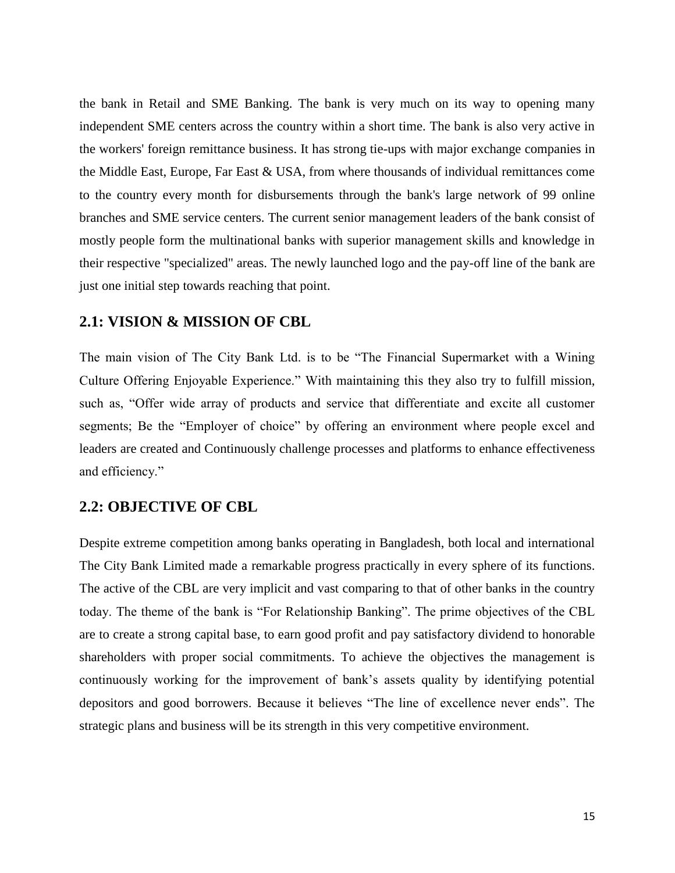the bank in Retail and SME Banking. The bank is very much on its way to opening many independent SME centers across the country within a short time. The bank is also very active in the workers' foreign remittance business. It has strong tie-ups with major exchange companies in the Middle East, Europe, Far East & USA, from where thousands of individual remittances come to the country every month for disbursements through the bank's large network of 99 online branches and SME service centers. The current senior management leaders of the bank consist of mostly people form the multinational banks with superior management skills and knowledge in their respective "specialized" areas. The newly launched logo and the pay-off line of the bank are just one initial step towards reaching that point.

#### **2.1: VISION & MISSION OF CBL**

The main vision of The City Bank Ltd. is to be "The Financial Supermarket with a Wining Culture Offering Enjoyable Experience." With maintaining this they also try to fulfill mission, such as, "Offer wide array of products and service that differentiate and excite all customer segments; Be the "Employer of choice" by offering an environment where people excel and leaders are created and Continuously challenge processes and platforms to enhance effectiveness and efficiency."

#### **2.2: OBJECTIVE OF CBL**

Despite extreme competition among banks operating in Bangladesh, both local and international The City Bank Limited made a remarkable progress practically in every sphere of its functions. The active of the CBL are very implicit and vast comparing to that of other banks in the country today. The theme of the bank is "For Relationship Banking". The prime objectives of the CBL are to create a strong capital base, to earn good profit and pay satisfactory dividend to honorable shareholders with proper social commitments. To achieve the objectives the management is continuously working for the improvement of bank"s assets quality by identifying potential depositors and good borrowers. Because it believes "The line of excellence never ends". The strategic plans and business will be its strength in this very competitive environment.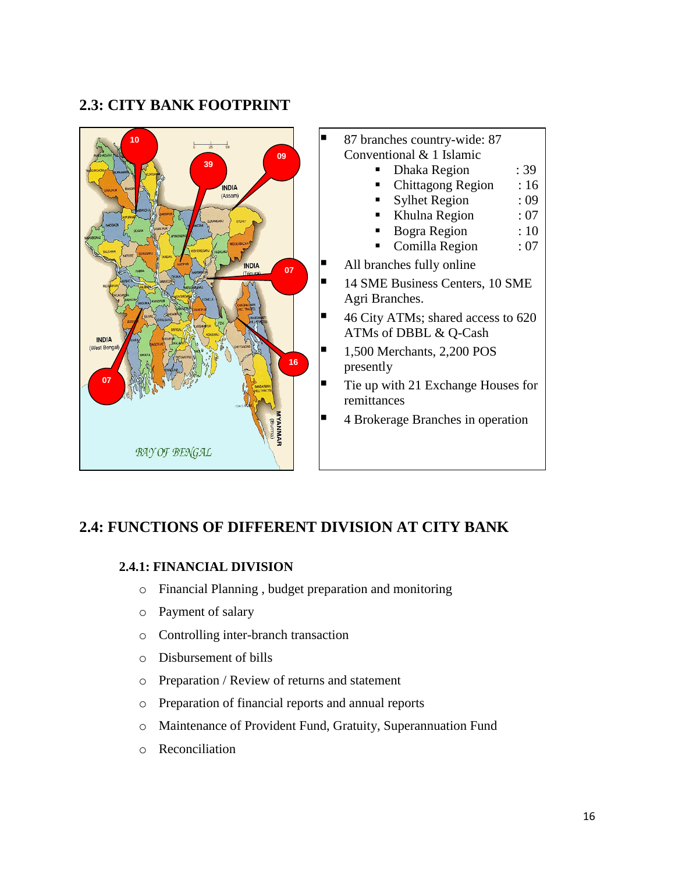### **2.3: CITY BANK FOOTPRINT**



### **2.4: FUNCTIONS OF DIFFERENT DIVISION AT CITY BANK**

### **2.4.1: FINANCIAL DIVISION**

- o Financial Planning , budget preparation and monitoring
- o Payment of salary
- o Controlling inter-branch transaction
- o Disbursement of bills
- o Preparation / Review of returns and statement
- o Preparation of financial reports and annual reports
- o Maintenance of Provident Fund, Gratuity, Superannuation Fund
- o Reconciliation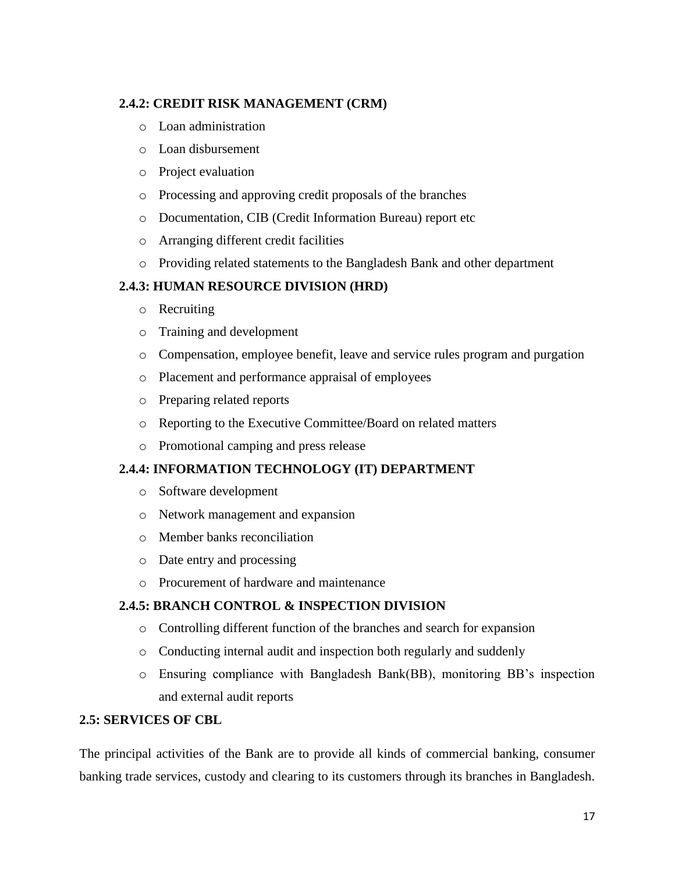### **2.4.2: CREDIT RISK MANAGEMENT (CRM)**

- o Loan administration
- o Loan disbursement
- o Project evaluation
- o Processing and approving credit proposals of the branches
- o Documentation, CIB (Credit Information Bureau) report etc
- o Arranging different credit facilities
- o Providing related statements to the Bangladesh Bank and other department

### **2.4.3: HUMAN RESOURCE DIVISION (HRD)**

- o Recruiting
- o Training and development
- o Compensation, employee benefit, leave and service rules program and purgation
- o Placement and performance appraisal of employees
- o Preparing related reports
- o Reporting to the Executive Committee/Board on related matters
- o Promotional camping and press release

### **2.4.4: INFORMATION TECHNOLOGY (IT) DEPARTMENT**

- o Software development
- o Network management and expansion
- o Member banks reconciliation
- o Date entry and processing
- o Procurement of hardware and maintenance

### **2.4.5: BRANCH CONTROL & INSPECTION DIVISION**

- o Controlling different function of the branches and search for expansion
- o Conducting internal audit and inspection both regularly and suddenly
- o Ensuring compliance with Bangladesh Bank(BB), monitoring BB"s inspection and external audit reports

### **2.5: SERVICES OF CBL**

The principal activities of the Bank are to provide all kinds of commercial banking, consumer banking trade services, custody and clearing to its customers through its branches in Bangladesh.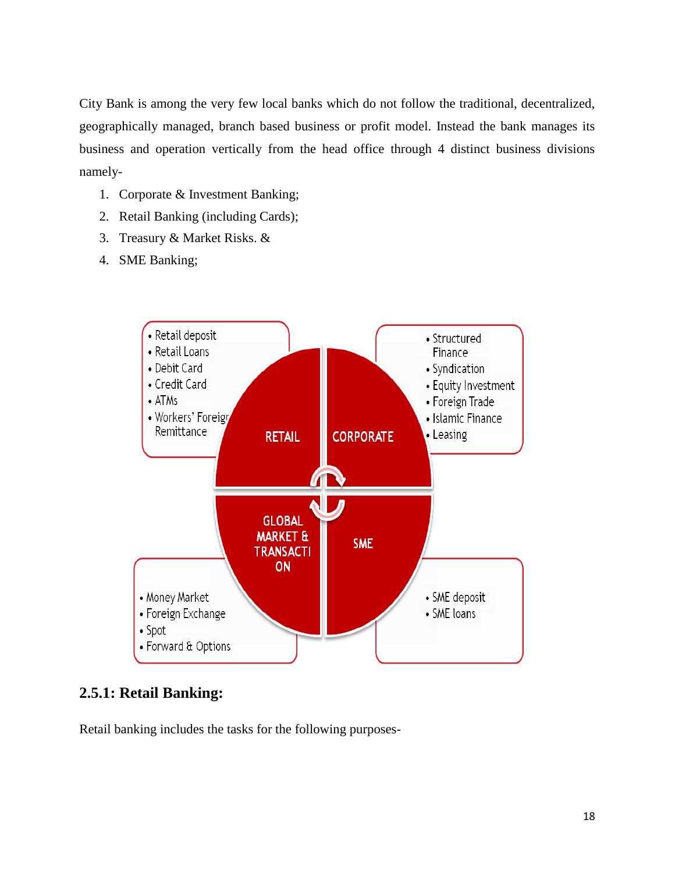City Bank is among the very few local banks which do not follow the traditional, decentralized, geographically managed, branch based business or profit model. Instead the bank manages its business and operation vertically from the head office through 4 distinct business divisions namely-

- 1. Corporate & Investment Banking;
- 2. Retail Banking (including Cards);
- 3. Treasury & Market Risks. &
- 4. SME Banking;



### **2.5.1: Retail Banking:**

Retail banking includes the tasks for the following purposes-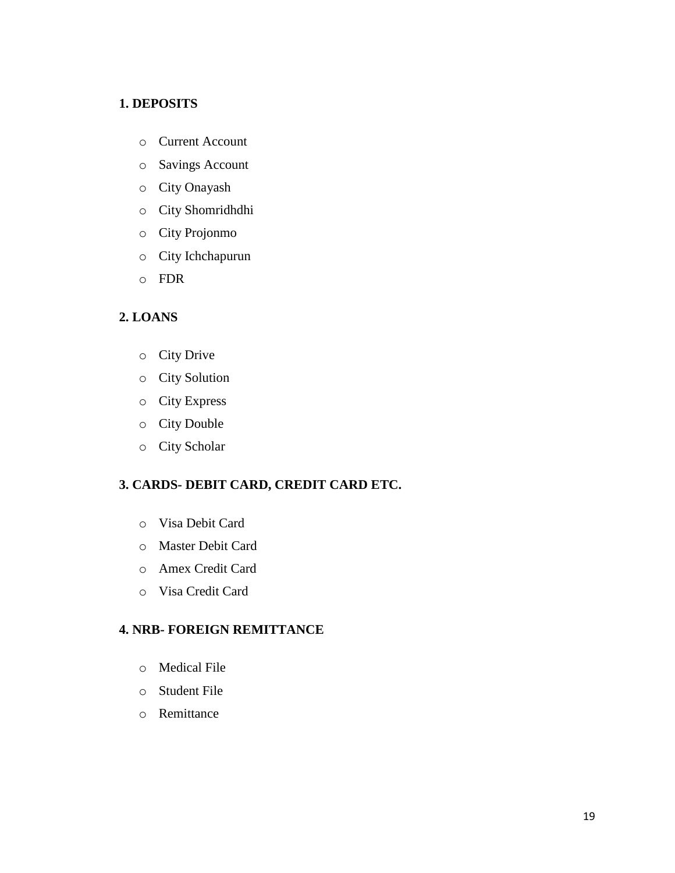#### **1. DEPOSITS**

- o Current Account
- o [Savings Account](https://www.thecitybank.com.bd/Savings-Account.php)
- o [City Onayash](https://www.thecitybank.com.bd/City-Onayash.php)
- o [City Shomridhdhi](https://www.thecitybank.com.bd/City-Shomridhdhi.php)
- o [City Projonmo](https://www.thecitybank.com.bd/City-Projonmo.php)
- o [City Ichchapurun](https://www.thecitybank.com.bd/City-Ichchapurun.php)
- o [FDR](https://www.thecitybank.com.bd/FDR.php)

### **2. LOANS**

- o [City Drive](https://www.thecitybank.com.bd/City_Drive.php)
- o [City Solution](https://www.thecitybank.com.bd/City_Solution.php)
- o [City Express](https://www.thecitybank.com.bd/City_express.php)
- o [City Double](https://www.thecitybank.com.bd/City_Double.php)
- o [City Scholar](https://www.thecitybank.com.bd/city_scholar.php)

### **3. CARDS- DEBIT CARD, CREDIT CARD ETC.**

- o Visa Debit Card
- o Master Debit Card
- o Amex Credit Card
- o Visa Credit Card

#### **4. NRB- FOREIGN REMITTANCE**

- o Medical File
- o Student File
- o Remittance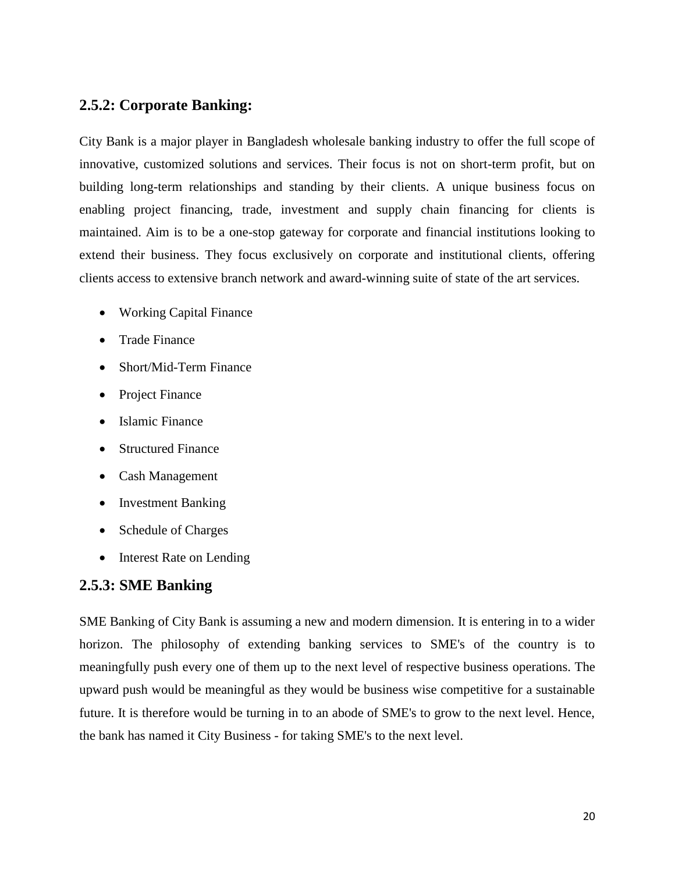### **2.5.2: Corporate Banking:**

City Bank is a major player in Bangladesh wholesale banking industry to offer the full scope of innovative, customized solutions and services. Their focus is not on short-term profit, but on building long-term relationships and standing by their clients. A unique business focus on enabling project financing, trade, investment and supply chain financing for clients is maintained. Aim is to be a one-stop gateway for corporate and financial institutions looking to extend their business. They focus exclusively on corporate and institutional clients, offering clients access to extensive branch network and award-winning suite of state of the art services.

- [Working Capital Finance](https://www.thecitybank.com.bd/WorkingCapitalFinance.php)
- [Trade Finance](https://www.thecitybank.com.bd/TradeFinance.php)
- [Short/Mid-Term Finance](https://www.thecitybank.com.bd/MidTermFinance.php)
- [Project Finance](https://www.thecitybank.com.bd/ProjectFinance.php)
- [Islamic Finance](https://www.thecitybank.com.bd/IslamicFinance.php)
- [Structured Finance](https://www.thecitybank.com.bd/StructuredFinance.php)
- [Cash Management](https://www.thecitybank.com.bd/CashManagement.php)
- [Investment Banking](https://www.thecitybank.com.bd/InvestmentBanking.php)
- [Schedule of Charges](https://www.thecitybank.com.bd/schedule_of_charges_corporate121231.pdf)
- [Interest Rate on Lending](https://www.thecitybank.com.bd/Lending_rate_26_09_13.xls)

### **2.5.3: SME Banking**

SME Banking of City Bank is assuming a new and modern dimension. It is entering in to a wider horizon. The philosophy of extending banking services to SME's of the country is to meaningfully push every one of them up to the next level of respective business operations. The upward push would be meaningful as they would be business wise competitive for a sustainable future. It is therefore would be turning in to an abode of SME's to grow to the next level. Hence, the bank has named it City Business - for taking SME's to the next level.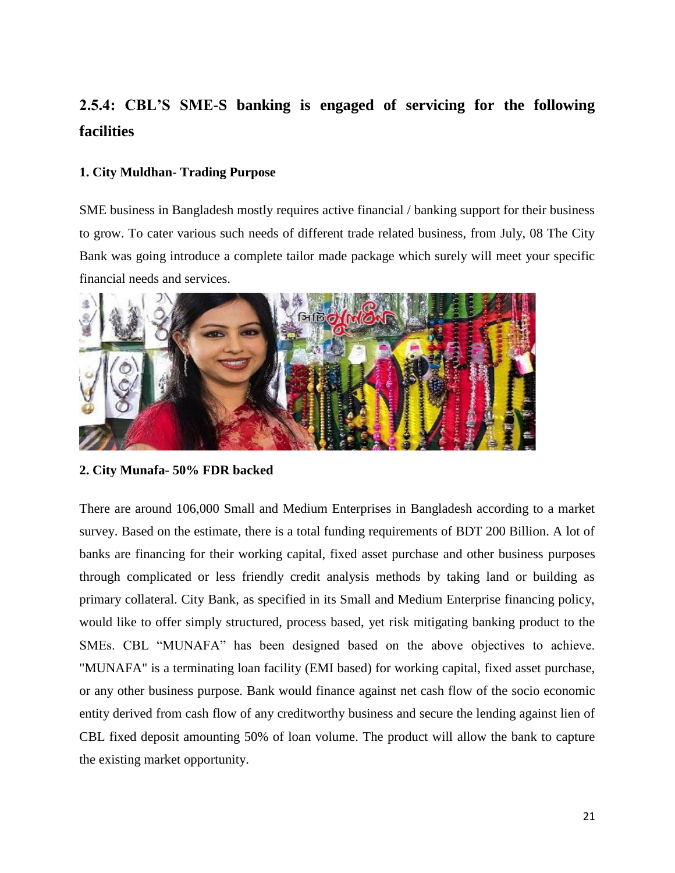# **2.5.4: CBL'S SME-S banking is engaged of servicing for the following facilities**

#### **1. City Muldhan- Trading Purpose**

SME business in Bangladesh mostly requires active financial / banking support for their business to grow. To cater various such needs of different trade related business, from July, 08 The City Bank was going introduce a complete tailor made package which surely will meet your specific financial needs and services.



**2. City Munafa- 50% FDR backed**

There are around 106,000 Small and Medium Enterprises in Bangladesh according to a market survey. Based on the estimate, there is a total funding requirements of BDT 200 Billion. A lot of banks are financing for their working capital, fixed asset purchase and other business purposes through complicated or less friendly credit analysis methods by taking land or building as primary collateral. City Bank, as specified in its Small and Medium Enterprise financing policy, would like to offer simply structured, process based, yet risk mitigating banking product to the SMEs. CBL "MUNAFA" has been designed based on the above objectives to achieve. "MUNAFA" is a terminating loan facility (EMI based) for working capital, fixed asset purchase, or any other business purpose. Bank would finance against net cash flow of the socio economic entity derived from cash flow of any creditworthy business and secure the lending against lien of CBL fixed deposit amounting 50% of loan volume. The product will allow the bank to capture the existing market opportunity.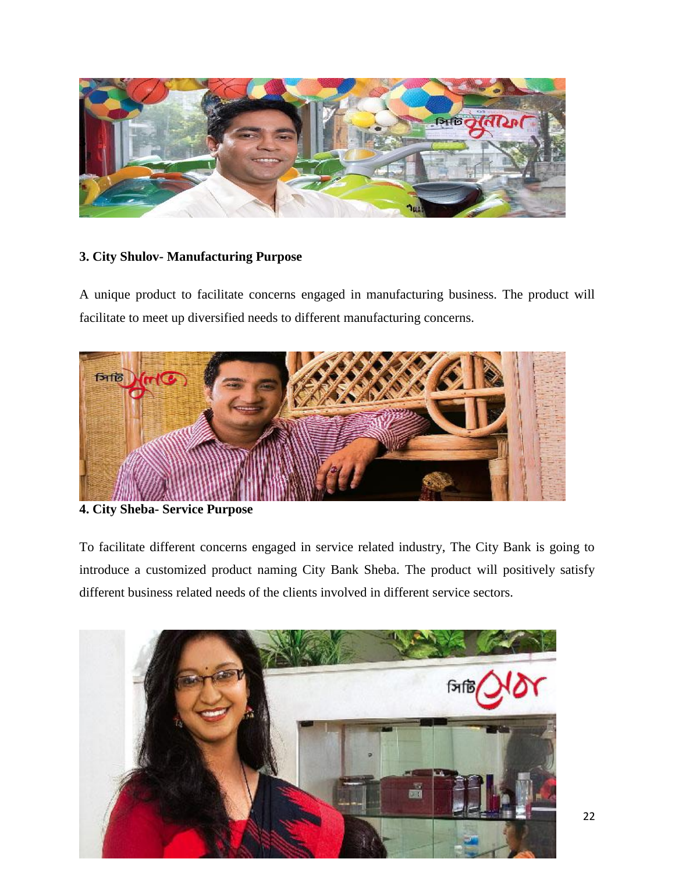

### **3. City Shulov- Manufacturing Purpose**

A unique product to facilitate concerns engaged in manufacturing business. The product will facilitate to meet up diversified needs to different manufacturing concerns.



### **4. City Sheba- Service Purpose**

To facilitate different concerns engaged in service related industry, The City Bank is going to introduce a customized product naming City Bank Sheba. The product will positively satisfy different business related needs of the clients involved in different service sectors.

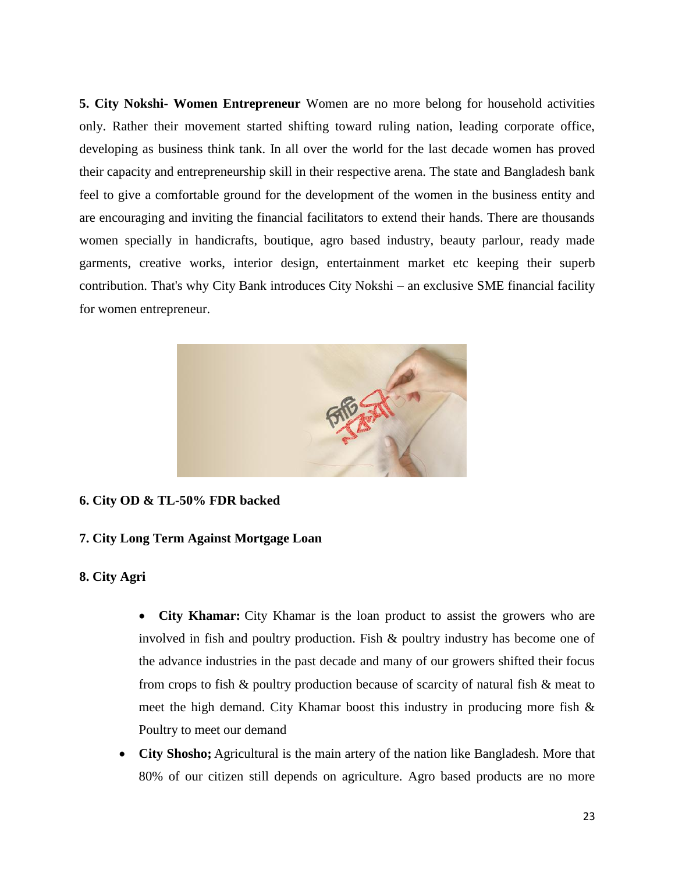**5. City Nokshi- Women Entrepreneur** Women are no more belong for household activities only. Rather their movement started shifting toward ruling nation, leading corporate office, developing as business think tank. In all over the world for the last decade women has proved their capacity and entrepreneurship skill in their respective arena. The state and Bangladesh bank feel to give a comfortable ground for the development of the women in the business entity and are encouraging and inviting the financial facilitators to extend their hands. There are thousands women specially in handicrafts, boutique, agro based industry, beauty parlour, ready made garments, creative works, interior design, entertainment market etc keeping their superb contribution. That's why City Bank introduces City Nokshi – an exclusive SME financial facility for women entrepreneur.



#### **6. City OD & TL-50% FDR backed**

#### **7. City Long Term Against Mortgage Loan**

#### **8. City Agri**

- **City Khamar:** City Khamar is the loan product to assist the growers who are involved in fish and poultry production. Fish & poultry industry has become one of the advance industries in the past decade and many of our growers shifted their focus from crops to fish & poultry production because of scarcity of natural fish & meat to meet the high demand. City Khamar boost this industry in producing more fish & Poultry to meet our demand
- **City Shosho;** Agricultural is the main artery of the nation like Bangladesh. More that 80% of our citizen still depends on agriculture. Agro based products are no more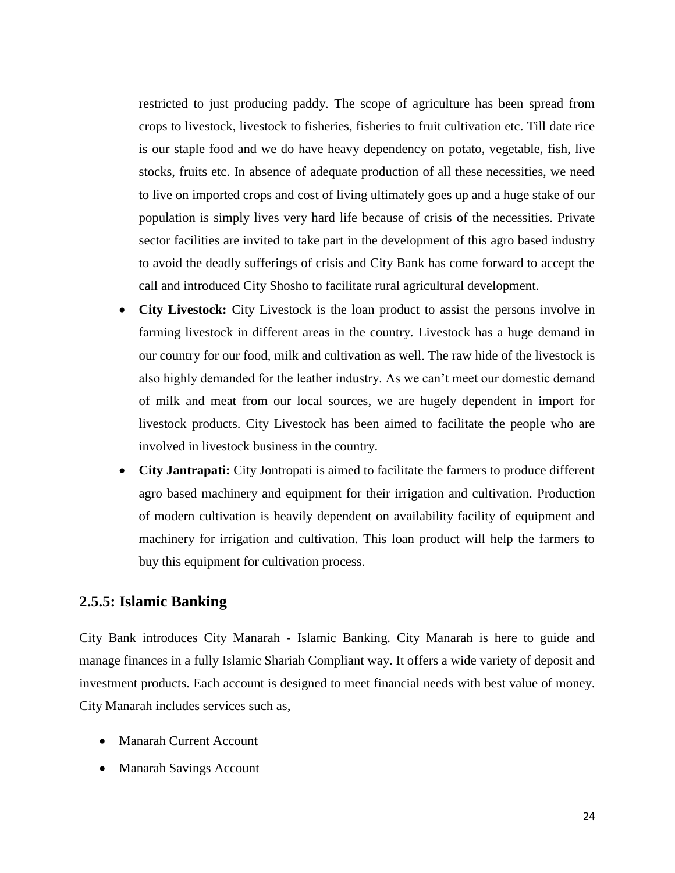restricted to just producing paddy. The scope of agriculture has been spread from crops to livestock, livestock to fisheries, fisheries to fruit cultivation etc. Till date rice is our staple food and we do have heavy dependency on potato, vegetable, fish, live stocks, fruits etc. In absence of adequate production of all these necessities, we need to live on imported crops and cost of living ultimately goes up and a huge stake of our population is simply lives very hard life because of crisis of the necessities. Private sector facilities are invited to take part in the development of this agro based industry to avoid the deadly sufferings of crisis and City Bank has come forward to accept the call and introduced City Shosho to facilitate rural agricultural development.

- **City Livestock:** City Livestock is the loan product to assist the persons involve in farming livestock in different areas in the country. Livestock has a huge demand in our country for our food, milk and cultivation as well. The raw hide of the livestock is also highly demanded for the leather industry. As we can"t meet our domestic demand of milk and meat from our local sources, we are hugely dependent in import for livestock products. City Livestock has been aimed to facilitate the people who are involved in livestock business in the country.
- **City Jantrapati:** City Jontropati is aimed to facilitate the farmers to produce different agro based machinery and equipment for their irrigation and cultivation. Production of modern cultivation is heavily dependent on availability facility of equipment and machinery for irrigation and cultivation. This loan product will help the farmers to buy this equipment for cultivation process.

### **2.5.5: Islamic Banking**

City Bank introduces City Manarah - Islamic Banking. City Manarah is here to guide and manage finances in a fully Islamic Shariah Compliant way. It offers a wide variety of deposit and investment products. Each account is designed to meet financial needs with best value of money. City Manarah includes services such as,

- Manarah Current Account
- Manarah Savings Account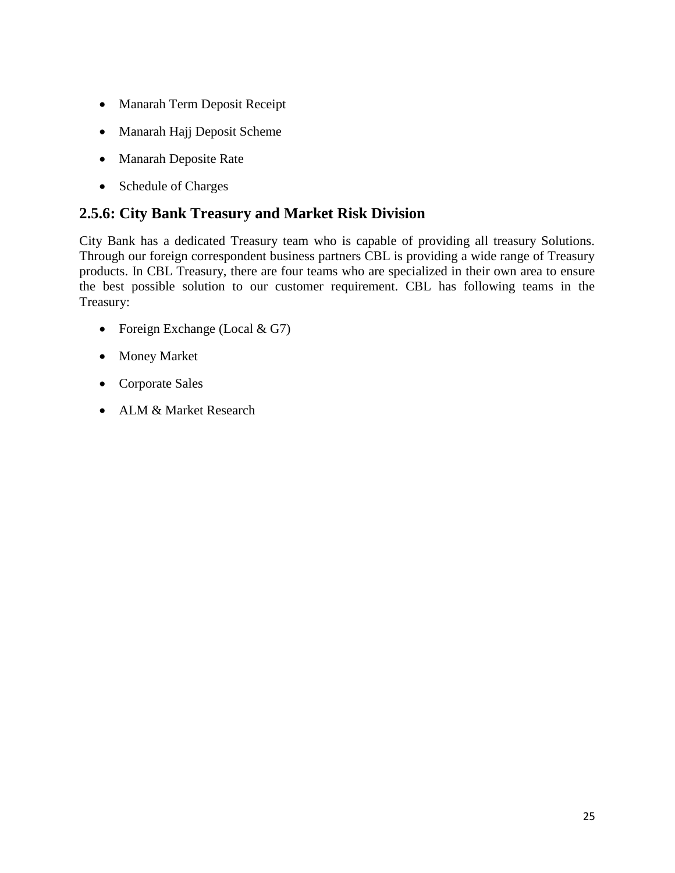- Manarah Term Deposit Receipt
- Manarah Hajj Deposit Scheme
- Manarah Deposite Rate
- Schedule of Charges

### **2.5.6: City Bank Treasury and Market Risk Division**

City Bank has a dedicated Treasury team who is capable of providing all treasury Solutions. Through our foreign correspondent business partners CBL is providing a wide range of Treasury products. In CBL Treasury, there are four teams who are specialized in their own area to ensure the best possible solution to our customer requirement. CBL has following teams in the Treasury:

- Foreign Exchange (Local  $& G7$ )
- Money Market
- Corporate Sales
- ALM & Market Research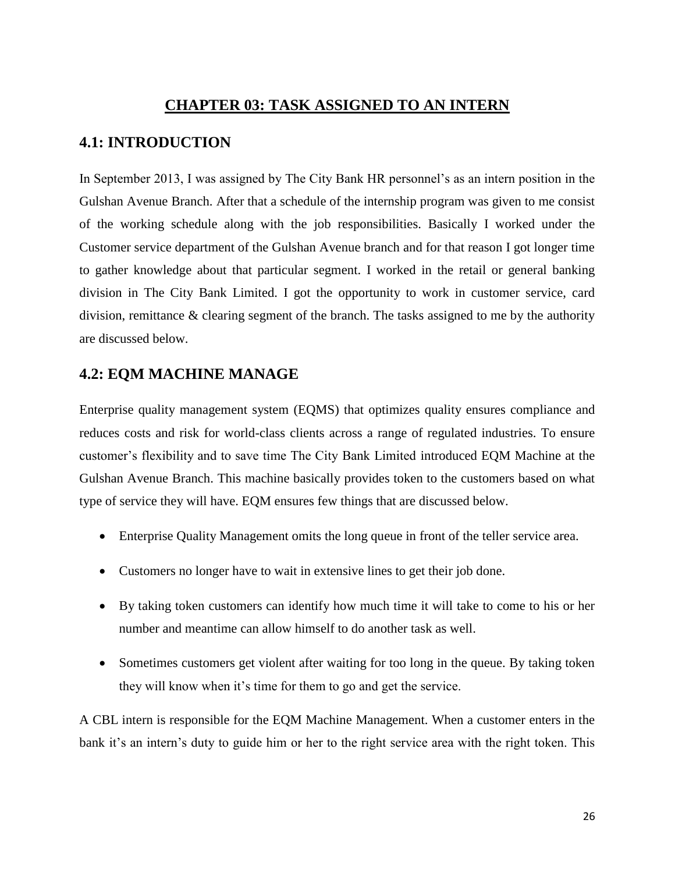### **CHAPTER 03: TASK ASSIGNED TO AN INTERN**

### **4.1: INTRODUCTION**

In September 2013, I was assigned by The City Bank HR personnel's as an intern position in the Gulshan Avenue Branch. After that a schedule of the internship program was given to me consist of the working schedule along with the job responsibilities. Basically I worked under the Customer service department of the Gulshan Avenue branch and for that reason I got longer time to gather knowledge about that particular segment. I worked in the retail or general banking division in The City Bank Limited. I got the opportunity to work in customer service, card division, remittance & clearing segment of the branch. The tasks assigned to me by the authority are discussed below.

### **4.2: EQM MACHINE MANAGE**

[Enterprise quality management system](http://www.spartasystems.com/) (EQMS) that optimizes quality ensures compliance and reduces costs and risk for world-class clients across a range of regulated industries. To ensure customer"s flexibility and to save time The City Bank Limited introduced EQM Machine at the Gulshan Avenue Branch. This machine basically provides token to the customers based on what type of service they will have. EQM ensures few things that are discussed below.

- Enterprise Quality Management omits the long queue in front of the teller service area.
- Customers no longer have to wait in extensive lines to get their job done.
- By taking token customers can identify how much time it will take to come to his or her number and meantime can allow himself to do another task as well.
- Sometimes customers get violent after waiting for too long in the queue. By taking token they will know when it's time for them to go and get the service.

A CBL intern is responsible for the EQM Machine Management. When a customer enters in the bank it's an intern's duty to guide him or her to the right service area with the right token. This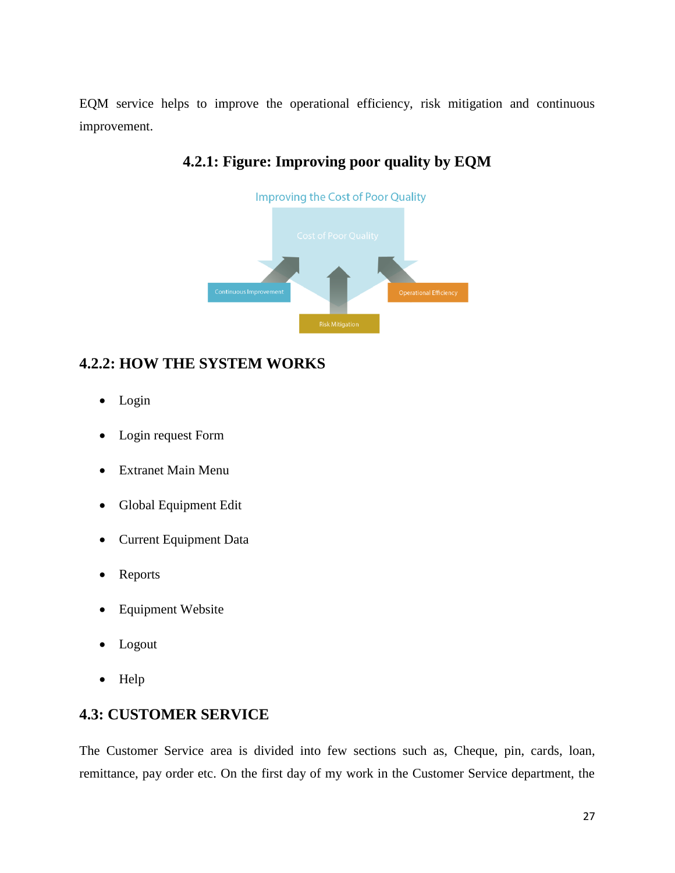EQM service helps to improve the operational efficiency, risk mitigation and continuous improvement.



### **4.2.1: Figure: Improving poor quality by EQM**

### **4.2.2: HOW THE SYSTEM WORKS**

- Login
- Login request Form
- Extranet Main Menu
- Global Equipment Edit
- Current Equipment Data
- Reports
- Equipment Website
- Logout
- Help

### **4.3: CUSTOMER SERVICE**

The Customer Service area is divided into few sections such as, Cheque, pin, cards, loan, remittance, pay order etc. On the first day of my work in the Customer Service department, the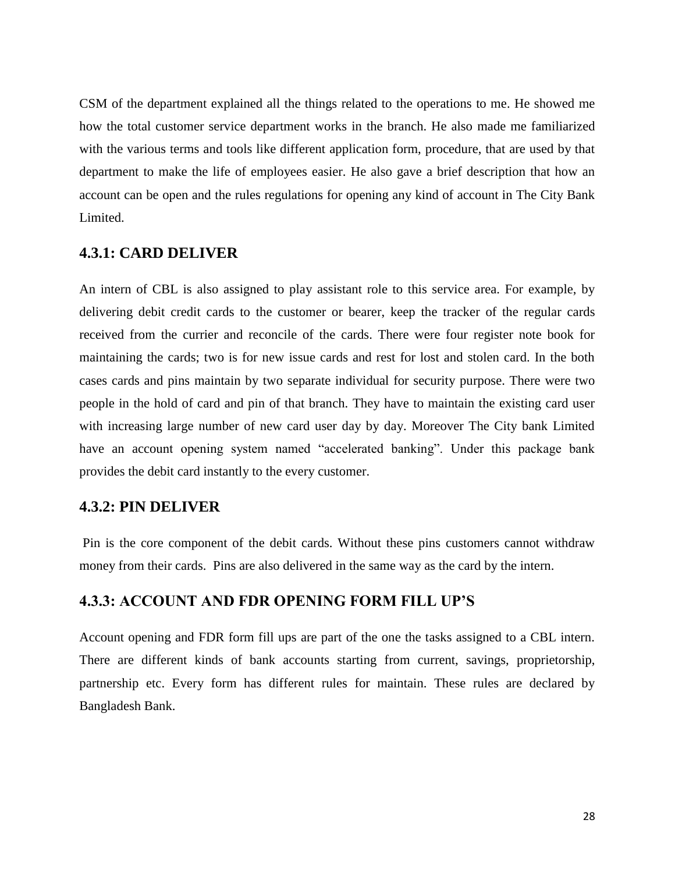CSM of the department explained all the things related to the operations to me. He showed me how the total customer service department works in the branch. He also made me familiarized with the various terms and tools like different application form, procedure, that are used by that department to make the life of employees easier. He also gave a brief description that how an account can be open and the rules regulations for opening any kind of account in The City Bank Limited.

### **4.3.1: CARD DELIVER**

An intern of CBL is also assigned to play assistant role to this service area. For example, by delivering debit credit cards to the customer or bearer, keep the tracker of the regular cards received from the currier and reconcile of the cards. There were four register note book for maintaining the cards; two is for new issue cards and rest for lost and stolen card. In the both cases cards and pins maintain by two separate individual for security purpose. There were two people in the hold of card and pin of that branch. They have to maintain the existing card user with increasing large number of new card user day by day. Moreover The City bank Limited have an account opening system named "accelerated banking". Under this package bank provides the debit card instantly to the every customer.

#### **4.3.2: PIN DELIVER**

Pin is the core component of the debit cards. Without these pins customers cannot withdraw money from their cards. Pins are also delivered in the same way as the card by the intern.

#### **4.3.3: ACCOUNT AND FDR OPENING FORM FILL UP'S**

Account opening and FDR form fill ups are part of the one the tasks assigned to a CBL intern. There are different kinds of bank accounts starting from current, savings, proprietorship, partnership etc. Every form has different rules for maintain. These rules are declared by Bangladesh Bank.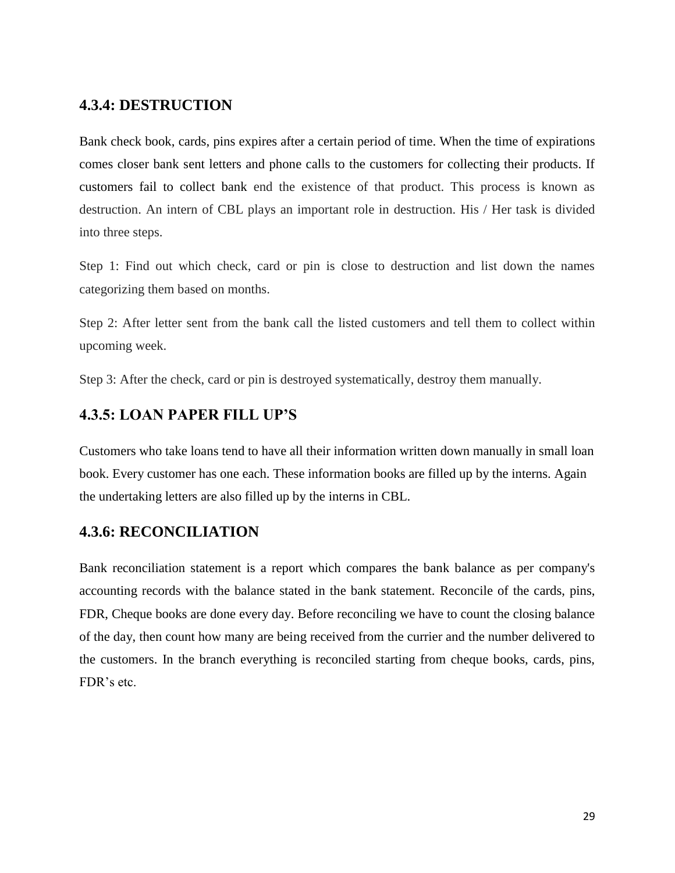### **4.3.4: DESTRUCTION**

Bank check book, cards, pins expires after a certain period of time. When the time of expirations comes closer bank sent letters and phone calls to the customers for collecting their products. If customers fail to collect bank end the existence of that product. This process is known as destruction. An intern of CBL plays an important role in destruction. His / Her task is divided into three steps.

Step 1: Find out which check, card or pin is close to destruction and list down the names categorizing them based on months.

Step 2: After letter sent from the bank call the listed customers and tell them to collect within upcoming week.

Step 3: After the check, card or pin is destroyed systematically, destroy them manually.

### **4.3.5: LOAN PAPER FILL UP'S**

Customers who take loans tend to have all their information written down manually in small loan book. Every customer has one each. These information books are filled up by the interns. Again the undertaking letters are also filled up by the interns in CBL.

### **4.3.6: RECONCILIATION**

Bank reconciliation statement is a report which compares the bank balance as per company's accounting records with the balance stated in the bank statement. Reconcile of the cards, pins, FDR, Cheque books are done every day. Before reconciling we have to count the closing balance of the day, then count how many are being received from the currier and the number delivered to the customers. In the branch everything is reconciled starting from cheque books, cards, pins, FDR"s etc.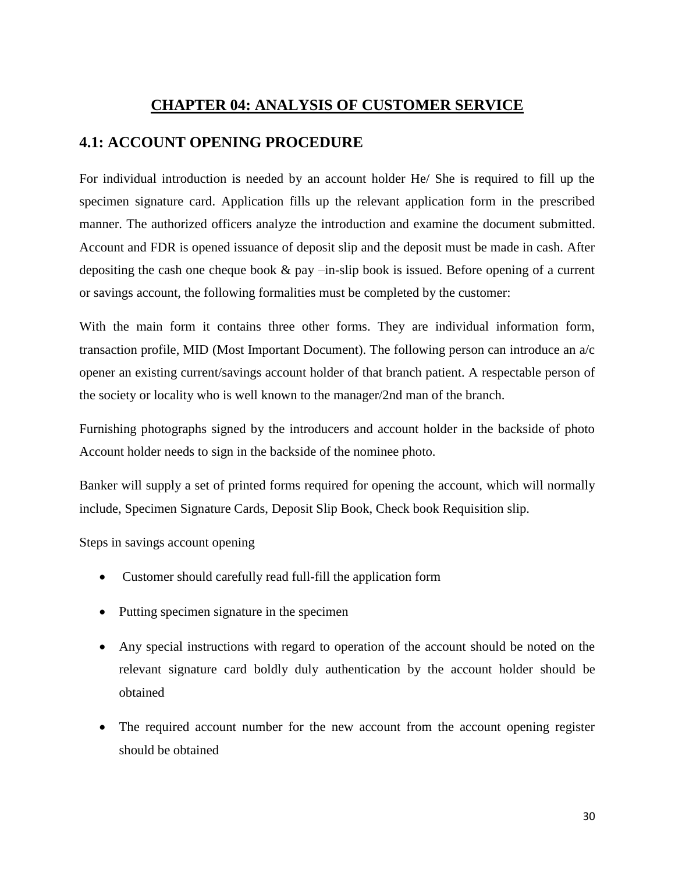### **CHAPTER 04: ANALYSIS OF CUSTOMER SERVICE**

### **4.1: ACCOUNT OPENING PROCEDURE**

For individual introduction is needed by an account holder He/ She is required to fill up the specimen signature card. Application fills up the relevant application form in the prescribed manner. The authorized officers analyze the introduction and examine the document submitted. Account and FDR is opened issuance of deposit slip and the deposit must be made in cash. After depositing the cash one cheque book  $\&$  pay  $-\text{in-slip}$  book is issued. Before opening of a current or savings account, the following formalities must be completed by the customer:

With the main form it contains three other forms. They are individual information form, transaction profile, MID (Most Important Document). The following person can introduce an a/c opener an existing current/savings account holder of that branch patient. A respectable person of the society or locality who is well known to the manager/2nd man of the branch.

Furnishing photographs signed by the introducers and account holder in the backside of photo Account holder needs to sign in the backside of the nominee photo.

Banker will supply a set of printed forms required for opening the account, which will normally include, Specimen Signature Cards, Deposit Slip Book, Check book Requisition slip.

Steps in savings account opening

- Customer should carefully read full-fill the application form
- Putting specimen signature in the specimen
- Any special instructions with regard to operation of the account should be noted on the relevant signature card boldly duly authentication by the account holder should be obtained
- The required account number for the new account from the account opening register should be obtained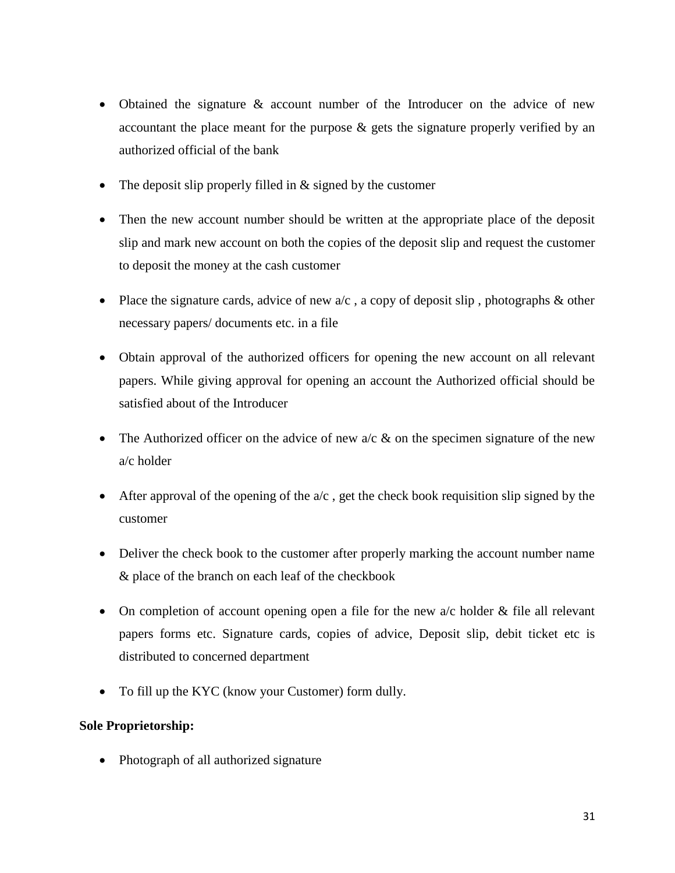- Obtained the signature & account number of the Introducer on the advice of new accountant the place meant for the purpose & gets the signature properly verified by an authorized official of the bank
- The deposit slip properly filled in & signed by the customer
- Then the new account number should be written at the appropriate place of the deposit slip and mark new account on both the copies of the deposit slip and request the customer to deposit the money at the cash customer
- Place the signature cards, advice of new  $a/c$ , a copy of deposit slip, photographs  $\&$  other necessary papers/ documents etc. in a file
- Obtain approval of the authorized officers for opening the new account on all relevant papers. While giving approval for opening an account the Authorized official should be satisfied about of the Introducer
- The Authorized officer on the advice of new  $a/c \&$  on the specimen signature of the new a/c holder
- After approval of the opening of the  $a/c$ , get the check book requisition slip signed by the customer
- Deliver the check book to the customer after properly marking the account number name & place of the branch on each leaf of the checkbook
- On completion of account opening open a file for the new  $a/c$  holder  $\&$  file all relevant papers forms etc. Signature cards, copies of advice, Deposit slip, debit ticket etc is distributed to concerned department
- To fill up the KYC (know your Customer) form dully.

### **Sole Proprietorship:**

• Photograph of all authorized signature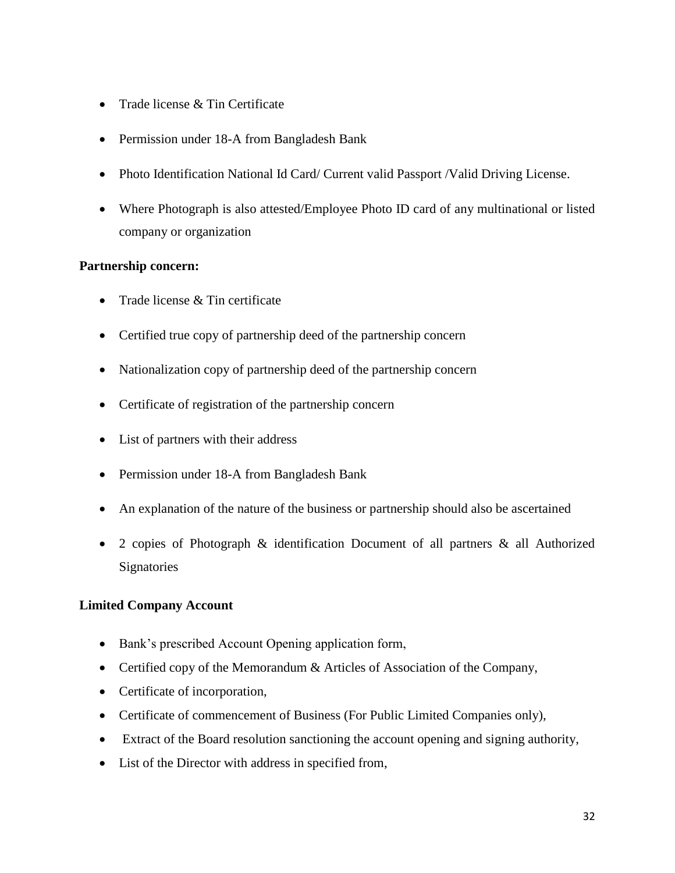- Trade license & Tin Certificate
- Permission under 18-A from Bangladesh Bank
- Photo Identification National Id Card/ Current valid Passport /Valid Driving License.
- Where Photograph is also attested/Employee Photo ID card of any multinational or listed company or organization

### **Partnership concern:**

- Trade license  $&$  Tin certificate
- Certified true copy of partnership deed of the partnership concern
- Nationalization copy of partnership deed of the partnership concern
- Certificate of registration of the partnership concern
- List of partners with their address
- Permission under 18-A from Bangladesh Bank
- An explanation of the nature of the business or partnership should also be ascertained
- 2 copies of Photograph & identification Document of all partners & all Authorized **Signatories**

### **Limited Company Account**

- Bank's prescribed Account Opening application form,
- Certified copy of the Memorandum & Articles of Association of the Company,
- Certificate of incorporation,
- Certificate of commencement of Business (For Public Limited Companies only),
- Extract of the Board resolution sanctioning the account opening and signing authority,
- List of the Director with address in specified from,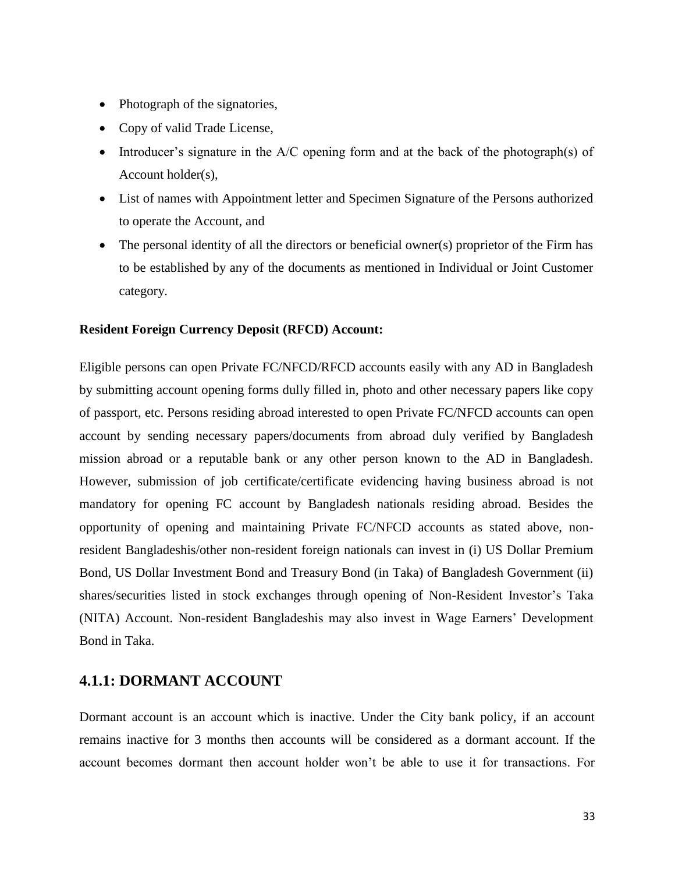- Photograph of the signatories,
- Copy of valid Trade License,
- Introducer's signature in the  $A/C$  opening form and at the back of the photograph(s) of Account holder(s),
- List of names with Appointment letter and Specimen Signature of the Persons authorized to operate the Account, and
- The personal identity of all the directors or beneficial owner(s) proprietor of the Firm has to be established by any of the documents as mentioned in Individual or Joint Customer category.

#### **Resident Foreign Currency Deposit (RFCD) Account:**

Eligible persons can open Private FC/NFCD/RFCD accounts easily with any AD in Bangladesh by submitting account opening forms dully filled in, photo and other necessary papers like copy of passport, etc. Persons residing abroad interested to open Private FC/NFCD accounts can open account by sending necessary papers/documents from abroad duly verified by Bangladesh mission abroad or a reputable bank or any other person known to the AD in Bangladesh. However, submission of job certificate/certificate evidencing having business abroad is not mandatory for opening FC account by Bangladesh nationals residing abroad. Besides the opportunity of opening and maintaining Private FC/NFCD accounts as stated above, nonresident Bangladeshis/other non-resident foreign nationals can invest in (i) US Dollar Premium Bond, US Dollar Investment Bond and Treasury Bond (in Taka) of Bangladesh Government (ii) shares/securities listed in stock exchanges through opening of Non-Resident Investor"s Taka (NITA) Account. Non-resident Bangladeshis may also invest in Wage Earners" Development Bond in Taka.

### **4.1.1: DORMANT ACCOUNT**

Dormant account is an account which is inactive. Under the City bank policy, if an account remains inactive for 3 months then accounts will be considered as a dormant account. If the account becomes dormant then account holder won"t be able to use it for transactions. For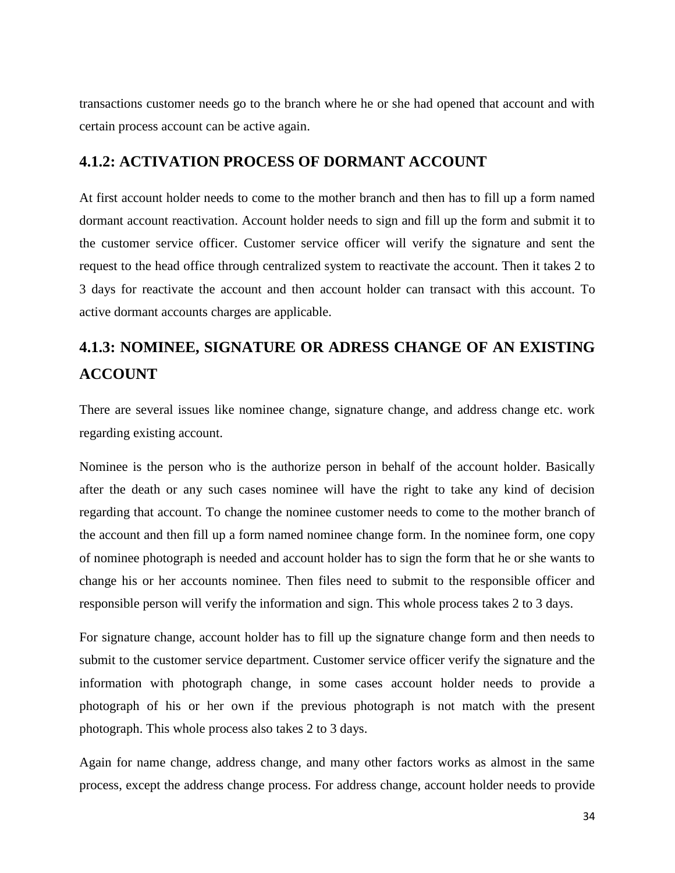transactions customer needs go to the branch where he or she had opened that account and with certain process account can be active again.

### **4.1.2: ACTIVATION PROCESS OF DORMANT ACCOUNT**

At first account holder needs to come to the mother branch and then has to fill up a form named dormant account reactivation. Account holder needs to sign and fill up the form and submit it to the customer service officer. Customer service officer will verify the signature and sent the request to the head office through centralized system to reactivate the account. Then it takes 2 to 3 days for reactivate the account and then account holder can transact with this account. To active dormant accounts charges are applicable.

# **4.1.3: NOMINEE, SIGNATURE OR ADRESS CHANGE OF AN EXISTING ACCOUNT**

There are several issues like nominee change, signature change, and address change etc. work regarding existing account.

Nominee is the person who is the authorize person in behalf of the account holder. Basically after the death or any such cases nominee will have the right to take any kind of decision regarding that account. To change the nominee customer needs to come to the mother branch of the account and then fill up a form named nominee change form. In the nominee form, one copy of nominee photograph is needed and account holder has to sign the form that he or she wants to change his or her accounts nominee. Then files need to submit to the responsible officer and responsible person will verify the information and sign. This whole process takes 2 to 3 days.

For signature change, account holder has to fill up the signature change form and then needs to submit to the customer service department. Customer service officer verify the signature and the information with photograph change, in some cases account holder needs to provide a photograph of his or her own if the previous photograph is not match with the present photograph. This whole process also takes 2 to 3 days.

Again for name change, address change, and many other factors works as almost in the same process, except the address change process. For address change, account holder needs to provide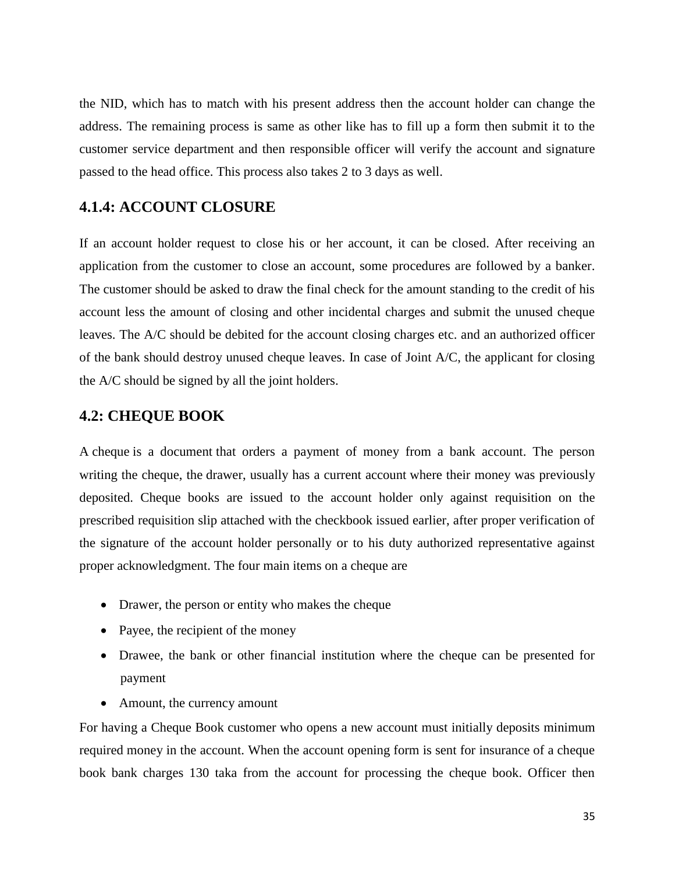the NID, which has to match with his present address then the account holder can change the address. The remaining process is same as other like has to fill up a form then submit it to the customer service department and then responsible officer will verify the account and signature passed to the head office. This process also takes 2 to 3 days as well.

### **4.1.4: ACCOUNT CLOSURE**

If an account holder request to close his or her account, it can be closed. After receiving an application from the customer to close an account, some procedures are followed by a banker. The customer should be asked to draw the final check for the amount standing to the credit of his account less the amount of closing and other incidental charges and submit the unused cheque leaves. The A/C should be debited for the account closing charges etc. and an authorized officer of the bank should destroy unused cheque leaves. In case of Joint A/C, the applicant for closing the A/C should be signed by all the joint holders.

### **4.2: CHEQUE BOOK**

A cheque is a document that orders a payment of money from a bank account. The person writing the cheque, the drawer, usually has a current account where their money was previously deposited. Cheque books are issued to the account holder only against requisition on the prescribed requisition slip attached with the checkbook issued earlier, after proper verification of the signature of the account holder personally or to his duty authorized representative against proper acknowledgment. The four main items on a cheque are

- Drawer, the person or entity who makes the cheque
- Payee, the recipient of the money
- Drawee, the bank or other financial institution where the cheque can be presented for payment
- Amount, the currency amount

For having a Cheque Book customer who opens a new account must initially deposits minimum required money in the account. When the account opening form is sent for insurance of a cheque book bank charges 130 taka from the account for processing the cheque book. Officer then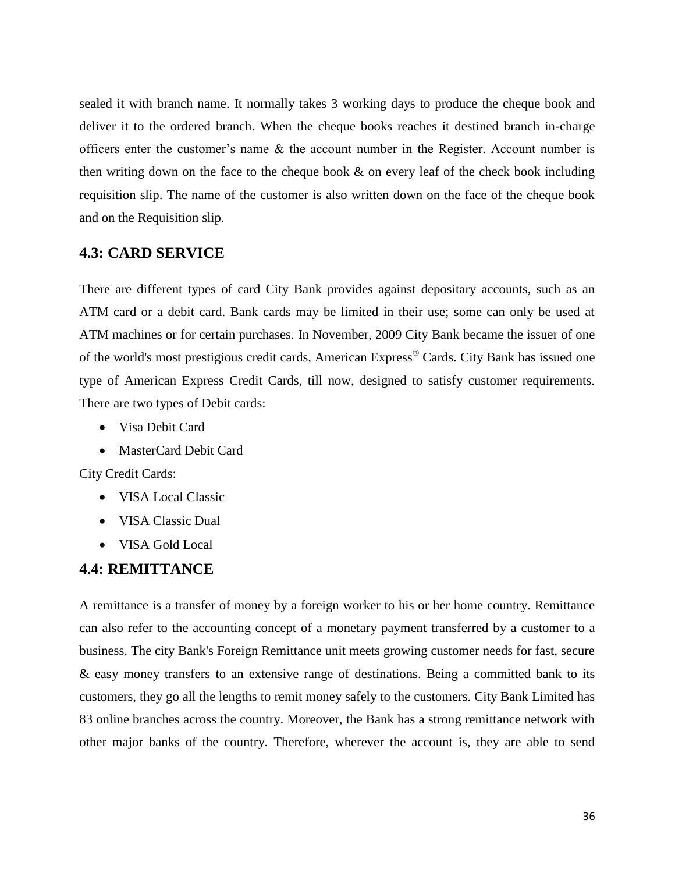sealed it with branch name. It normally takes 3 working days to produce the cheque book and deliver it to the ordered branch. When the cheque books reaches it destined branch in-charge officers enter the customer's name  $\&$  the account number in the Register. Account number is then writing down on the face to the cheque book & on every leaf of the check book including requisition slip. The name of the customer is also written down on the face of the cheque book and on the Requisition slip.

### **4.3: CARD SERVICE**

There are different types of card City Bank provides against depositary accounts, such as an ATM card or a debit card. Bank cards may be limited in their use; some can only be used at ATM machines or for certain purchases. In November, 2009 City Bank became the issuer of one of the world's most prestigious credit cards, American Express® Cards. City Bank has issued one type of American Express Credit Cards, till now, designed to satisfy customer requirements. There are two types of Debit cards:

- Visa Debit Card
- MasterCard Debit Card

City Credit Cards:

- VISA Local Classic
- VISA Classic Dual
- VISA Gold Local

#### **4.4: REMITTANCE**

A remittance is a transfer of money by a foreign worker to his or her home country. Remittance can also refer to the accounting concept of a monetary payment transferred by a customer to a business. The city Bank's Foreign Remittance unit meets growing customer needs for fast, secure & easy money transfers to an extensive range of destinations. Being a committed bank to its customers, they go all the lengths to remit money safely to the customers. City Bank Limited has 83 online branches across the country. Moreover, the Bank has a strong remittance network with other major banks of the country. Therefore, wherever the account is, they are able to send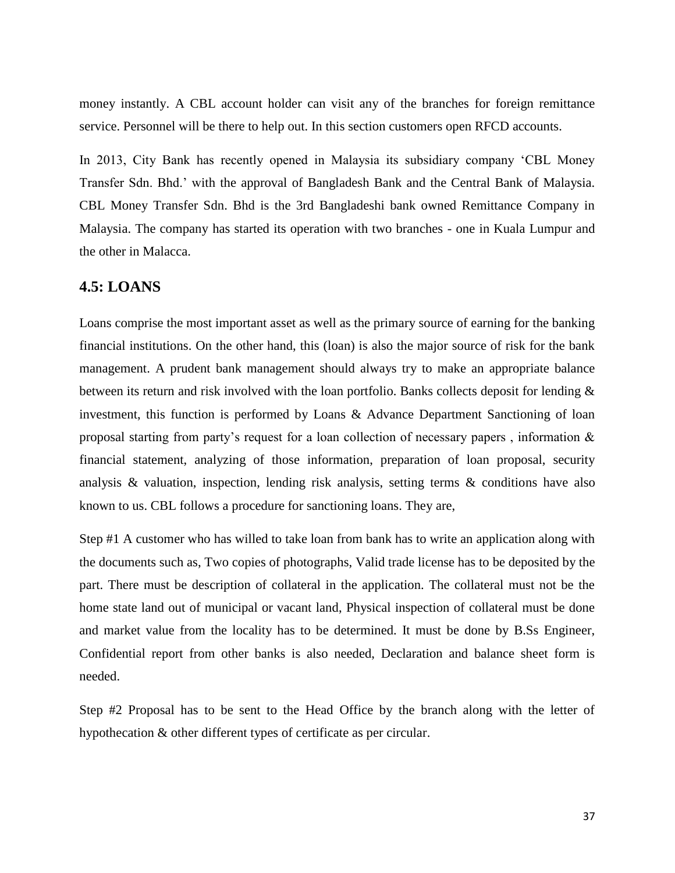money instantly. A CBL account holder can visit any of the branches for foreign remittance service. Personnel will be there to help out. In this section customers open RFCD accounts.

In 2013, City Bank has recently opened in Malaysia its subsidiary company "CBL Money Transfer Sdn. Bhd." with the approval of Bangladesh Bank and the Central Bank of Malaysia. CBL Money Transfer Sdn. Bhd is the 3rd Bangladeshi bank owned Remittance Company in Malaysia. The company has started its operation with two branches - one in Kuala Lumpur and the other in Malacca.

### **4.5: LOANS**

Loans comprise the most important asset as well as the primary source of earning for the banking financial institutions. On the other hand, this (loan) is also the major source of risk for the bank management. A prudent bank management should always try to make an appropriate balance between its return and risk involved with the loan portfolio. Banks collects deposit for lending & investment, this function is performed by Loans & Advance Department Sanctioning of loan proposal starting from party's request for a loan collection of necessary papers, information  $\&$ financial statement, analyzing of those information, preparation of loan proposal, security analysis  $\&$  valuation, inspection, lending risk analysis, setting terms  $\&$  conditions have also known to us. CBL follows a procedure for sanctioning loans. They are,

Step #1 A customer who has willed to take loan from bank has to write an application along with the documents such as, Two copies of photographs, Valid trade license has to be deposited by the part. There must be description of collateral in the application. The collateral must not be the home state land out of municipal or vacant land, Physical inspection of collateral must be done and market value from the locality has to be determined. It must be done by B.Ss Engineer, Confidential report from other banks is also needed, Declaration and balance sheet form is needed.

Step #2 Proposal has to be sent to the Head Office by the branch along with the letter of hypothecation & other different types of certificate as per circular.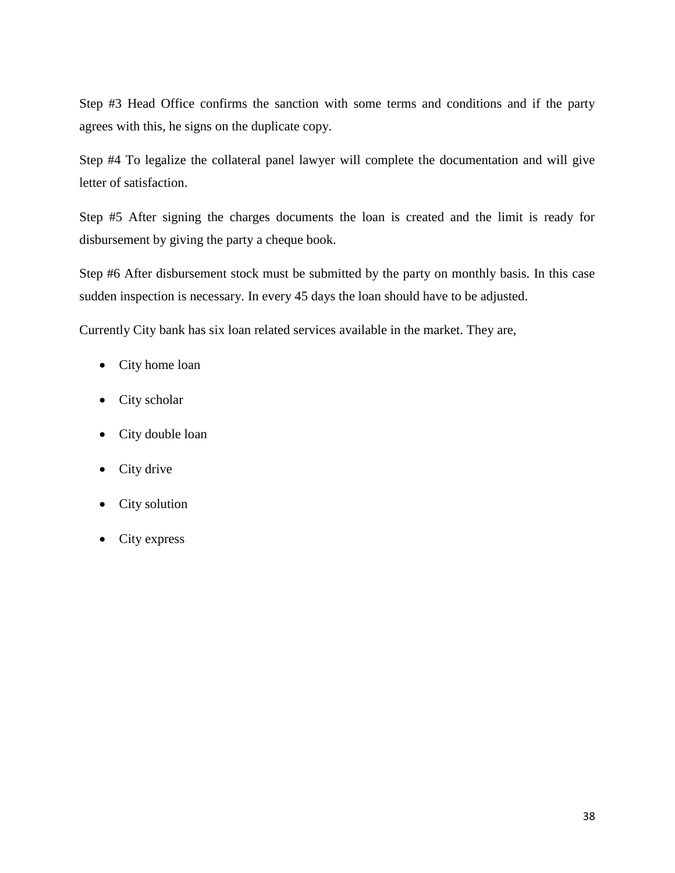Step #3 Head Office confirms the sanction with some terms and conditions and if the party agrees with this, he signs on the duplicate copy.

Step #4 To legalize the collateral panel lawyer will complete the documentation and will give letter of satisfaction.

Step #5 After signing the charges documents the loan is created and the limit is ready for disbursement by giving the party a cheque book.

Step #6 After disbursement stock must be submitted by the party on monthly basis. In this case sudden inspection is necessary. In every 45 days the loan should have to be adjusted.

Currently City bank has six loan related services available in the market. They are,

- City home loan
- City scholar
- City double loan
- City drive
- City solution
- City express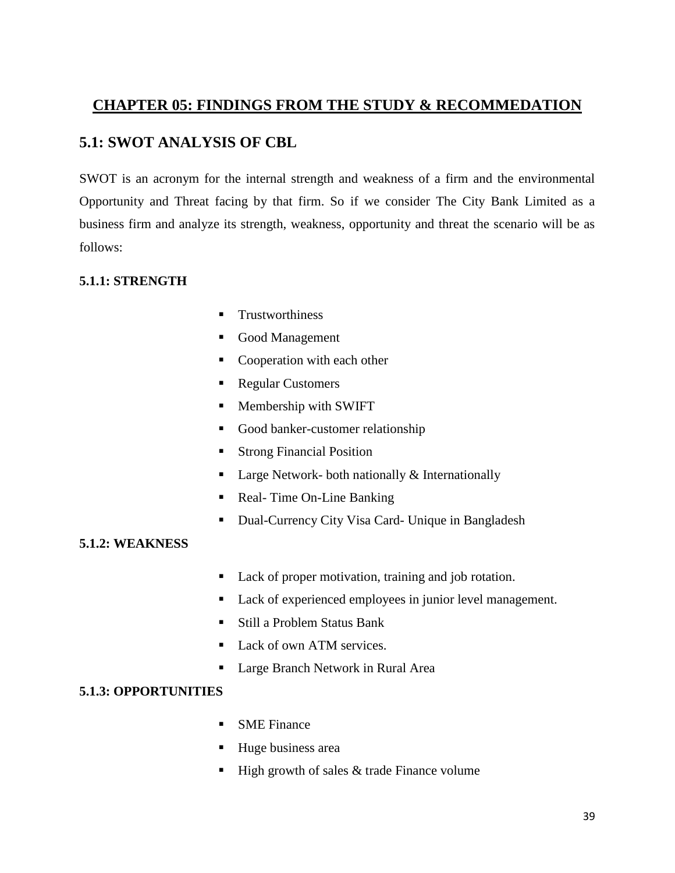### **CHAPTER 05: FINDINGS FROM THE STUDY & RECOMMEDATION**

### **5.1: SWOT ANALYSIS OF CBL**

SWOT is an acronym for the internal strength and weakness of a firm and the environmental Opportunity and Threat facing by that firm. So if we consider The City Bank Limited as a business firm and analyze its strength, weakness, opportunity and threat the scenario will be as follows:

### **5.1.1: STRENGTH**

- **Trustworthiness**
- Good Management
- Cooperation with each other
- Regular Customers
- **Membership with SWIFT**
- Good banker-customer relationship
- **Strong Financial Position**
- **Large Network- both nationally**  $\&$  **Internationally**
- Real-Time On-Line Banking
- **Dual-Currency City Visa Card- Unique in Bangladesh**

### **5.1.2: WEAKNESS**

- Lack of proper motivation, training and job rotation.
- Lack of experienced employees in junior level management.
- Still a Problem Status Bank
- Lack of own ATM services.
- Large Branch Network in Rural Area

### **5.1.3: OPPORTUNITIES**

- **SME** Finance
- Huge business area
- $\blacksquare$  High growth of sales & trade Finance volume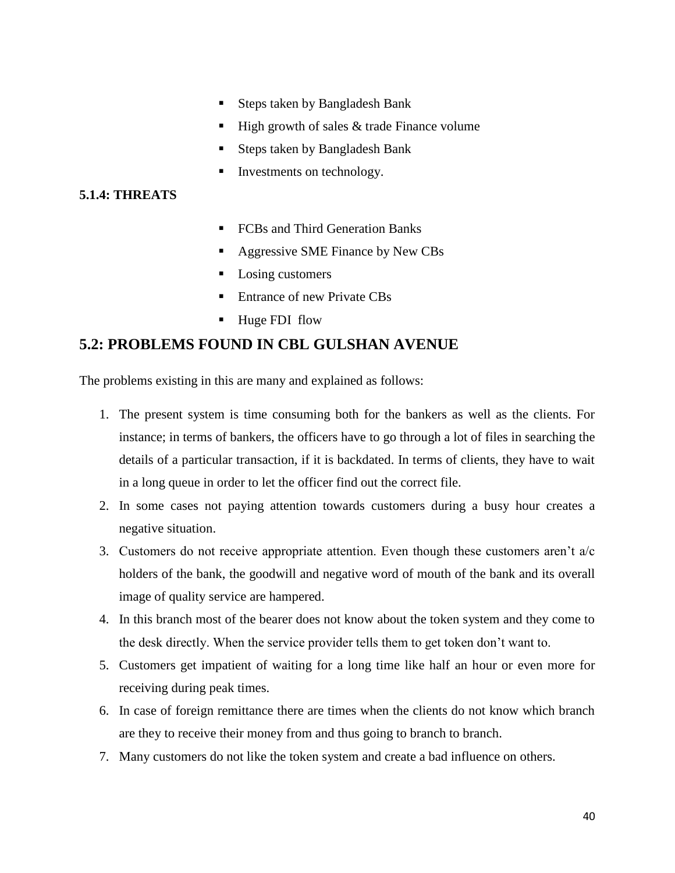- Steps taken by Bangladesh Bank
- $\blacksquare$  High growth of sales & trade Finance volume
- Steps taken by Bangladesh Bank
- Investments on technology.

#### **5.1.4: THREATS**

- FCBs and Third Generation Banks
- Aggressive SME Finance by New CBs
- Losing customers
- Entrance of new Private CBs
- Huge FDI flow

### **5.2: PROBLEMS FOUND IN CBL GULSHAN AVENUE**

The problems existing in this are many and explained as follows:

- 1. The present system is time consuming both for the bankers as well as the clients. For instance; in terms of bankers, the officers have to go through a lot of files in searching the details of a particular transaction, if it is backdated. In terms of clients, they have to wait in a long queue in order to let the officer find out the correct file.
- 2. In some cases not paying attention towards customers during a busy hour creates a negative situation.
- 3. Customers do not receive appropriate attention. Even though these customers aren't  $a/c$ holders of the bank, the goodwill and negative word of mouth of the bank and its overall image of quality service are hampered.
- 4. In this branch most of the bearer does not know about the token system and they come to the desk directly. When the service provider tells them to get token don"t want to.
- 5. Customers get impatient of waiting for a long time like half an hour or even more for receiving during peak times.
- 6. In case of foreign remittance there are times when the clients do not know which branch are they to receive their money from and thus going to branch to branch.
- 7. Many customers do not like the token system and create a bad influence on others.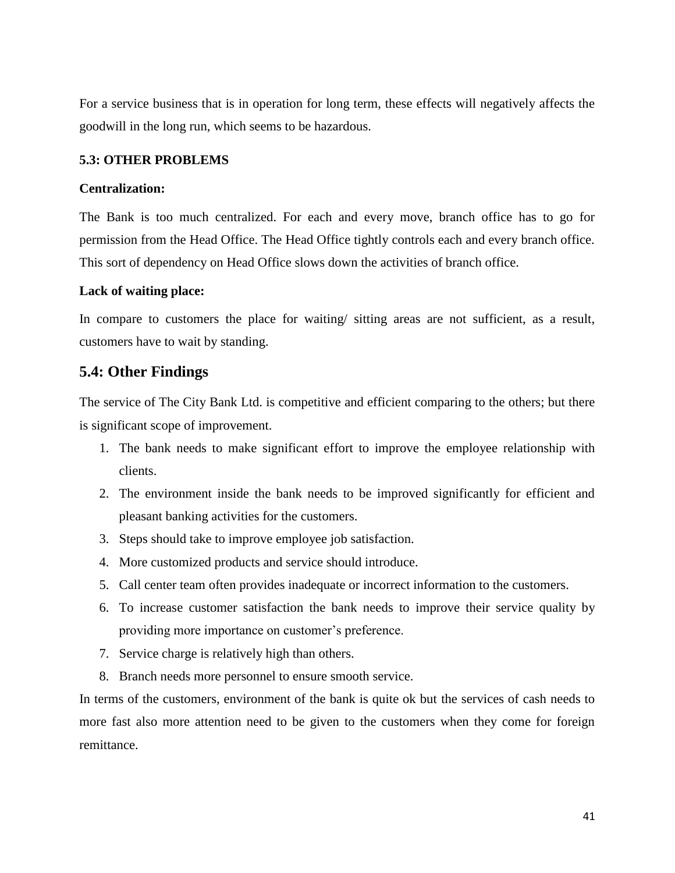For a service business that is in operation for long term, these effects will negatively affects the goodwill in the long run, which seems to be hazardous.

#### **5.3: OTHER PROBLEMS**

#### **Centralization:**

The Bank is too much centralized. For each and every move, branch office has to go for permission from the Head Office. The Head Office tightly controls each and every branch office. This sort of dependency on Head Office slows down the activities of branch office.

#### **Lack of waiting place:**

In compare to customers the place for waiting/ sitting areas are not sufficient, as a result, customers have to wait by standing.

### **5.4: Other Findings**

The service of The City Bank Ltd. is competitive and efficient comparing to the others; but there is significant scope of improvement.

- 1. The bank needs to make significant effort to improve the employee relationship with clients.
- 2. The environment inside the bank needs to be improved significantly for efficient and pleasant banking activities for the customers.
- 3. Steps should take to improve employee job satisfaction.
- 4. More customized products and service should introduce.
- 5. Call center team often provides inadequate or incorrect information to the customers.
- 6. To increase customer satisfaction the bank needs to improve their service quality by providing more importance on customer"s preference.
- 7. Service charge is relatively high than others.
- 8. Branch needs more personnel to ensure smooth service.

In terms of the customers, environment of the bank is quite ok but the services of cash needs to more fast also more attention need to be given to the customers when they come for foreign remittance.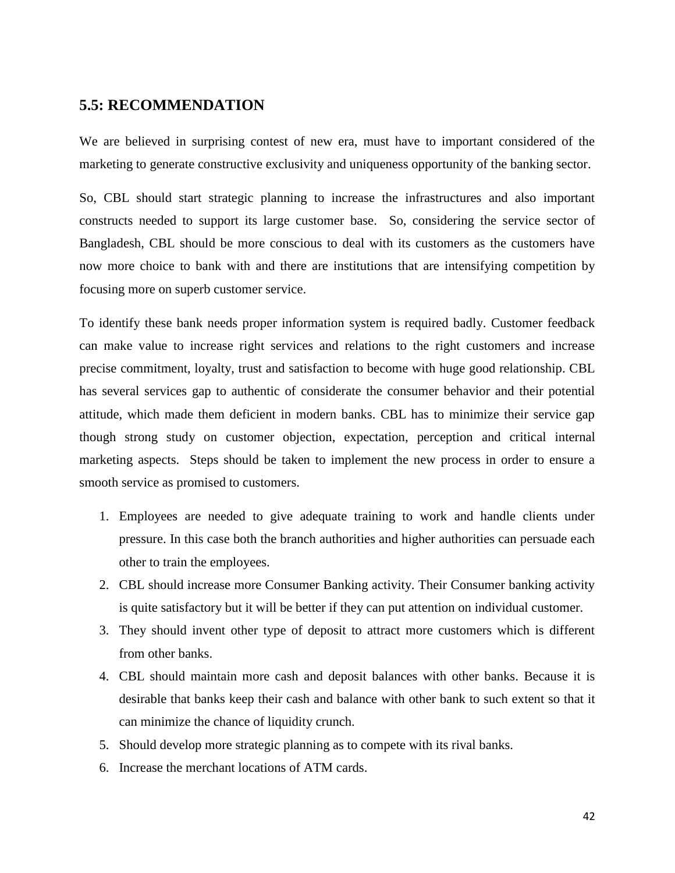### **5.5: RECOMMENDATION**

We are believed in surprising contest of new era, must have to important considered of the marketing to generate constructive exclusivity and uniqueness opportunity of the banking sector.

So, CBL should start strategic planning to increase the infrastructures and also important constructs needed to support its large customer base. So, considering the service sector of Bangladesh, CBL should be more conscious to deal with its customers as the customers have now more choice to bank with and there are institutions that are intensifying competition by focusing more on superb customer service.

To identify these bank needs proper information system is required badly. Customer feedback can make value to increase right services and relations to the right customers and increase precise commitment, loyalty, trust and satisfaction to become with huge good relationship. CBL has several services gap to authentic of considerate the consumer behavior and their potential attitude, which made them deficient in modern banks. CBL has to minimize their service gap though strong study on customer objection, expectation, perception and critical internal marketing aspects. Steps should be taken to implement the new process in order to ensure a smooth service as promised to customers.

- 1. Employees are needed to give adequate training to work and handle clients under pressure. In this case both the branch authorities and higher authorities can persuade each other to train the employees.
- 2. CBL should increase more Consumer Banking activity. Their Consumer banking activity is quite satisfactory but it will be better if they can put attention on individual customer.
- 3. They should invent other type of deposit to attract more customers which is different from other banks.
- 4. CBL should maintain more cash and deposit balances with other banks. Because it is desirable that banks keep their cash and balance with other bank to such extent so that it can minimize the chance of liquidity crunch.
- 5. Should develop more strategic planning as to compete with its rival banks.
- 6. Increase the merchant locations of ATM cards.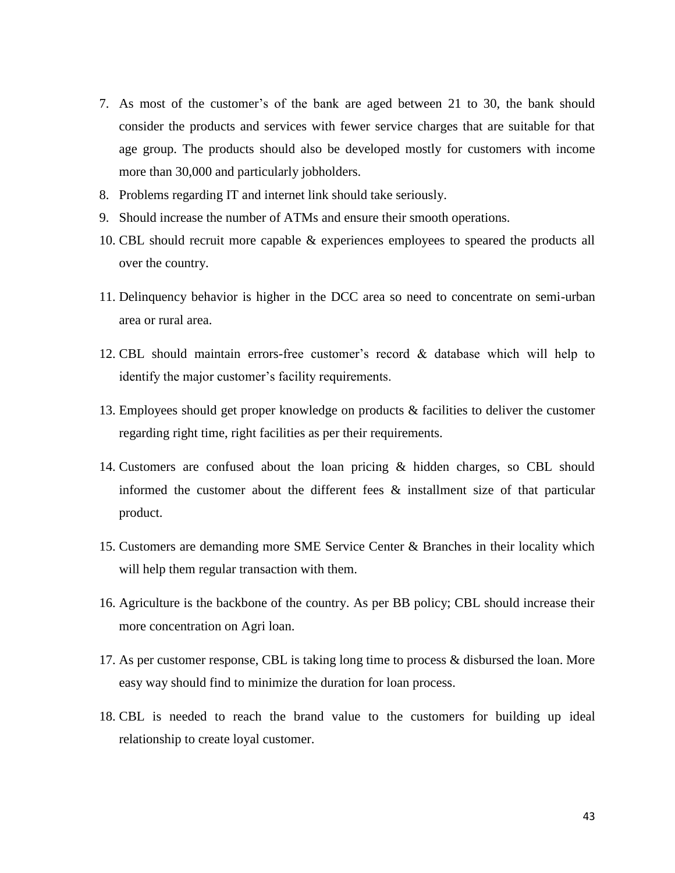- 7. As most of the customer"s of the bank are aged between 21 to 30, the bank should consider the products and services with fewer service charges that are suitable for that age group. The products should also be developed mostly for customers with income more than 30,000 and particularly jobholders.
- 8. Problems regarding IT and internet link should take seriously.
- 9. Should increase the number of ATMs and ensure their smooth operations.
- 10. CBL should recruit more capable & experiences employees to speared the products all over the country.
- 11. Delinquency behavior is higher in the DCC area so need to concentrate on semi-urban area or rural area.
- 12. CBL should maintain errors-free customer"s record & database which will help to identify the major customer's facility requirements.
- 13. Employees should get proper knowledge on products & facilities to deliver the customer regarding right time, right facilities as per their requirements.
- 14. Customers are confused about the loan pricing & hidden charges, so CBL should informed the customer about the different fees & installment size of that particular product.
- 15. Customers are demanding more SME Service Center & Branches in their locality which will help them regular transaction with them.
- 16. Agriculture is the backbone of the country. As per BB policy; CBL should increase their more concentration on Agri loan.
- 17. As per customer response, CBL is taking long time to process & disbursed the loan. More easy way should find to minimize the duration for loan process.
- 18. CBL is needed to reach the brand value to the customers for building up ideal relationship to create loyal customer.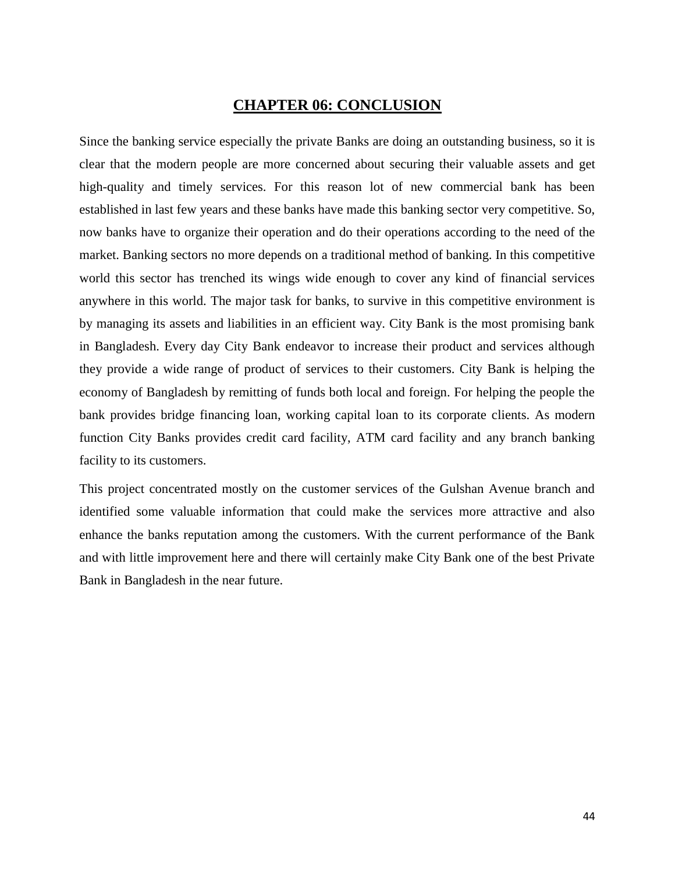### **CHAPTER 06: CONCLUSION**

Since the banking service especially the private Banks are doing an outstanding business, so it is clear that the modern people are more concerned about securing their valuable assets and get high-quality and timely services. For this reason lot of new commercial bank has been established in last few years and these banks have made this banking sector very competitive. So, now banks have to organize their operation and do their operations according to the need of the market. Banking sectors no more depends on a traditional method of banking. In this competitive world this sector has trenched its wings wide enough to cover any kind of financial services anywhere in this world. The major task for banks, to survive in this competitive environment is by managing its assets and liabilities in an efficient way. City Bank is the most promising bank in Bangladesh. Every day City Bank endeavor to increase their product and services although they provide a wide range of product of services to their customers. City Bank is helping the economy of Bangladesh by remitting of funds both local and foreign. For helping the people the bank provides bridge financing loan, working capital loan to its corporate clients. As modern function City Banks provides credit card facility, ATM card facility and any branch banking facility to its customers.

This project concentrated mostly on the customer services of the Gulshan Avenue branch and identified some valuable information that could make the services more attractive and also enhance the banks reputation among the customers. With the current performance of the Bank and with little improvement here and there will certainly make City Bank one of the best Private Bank in Bangladesh in the near future.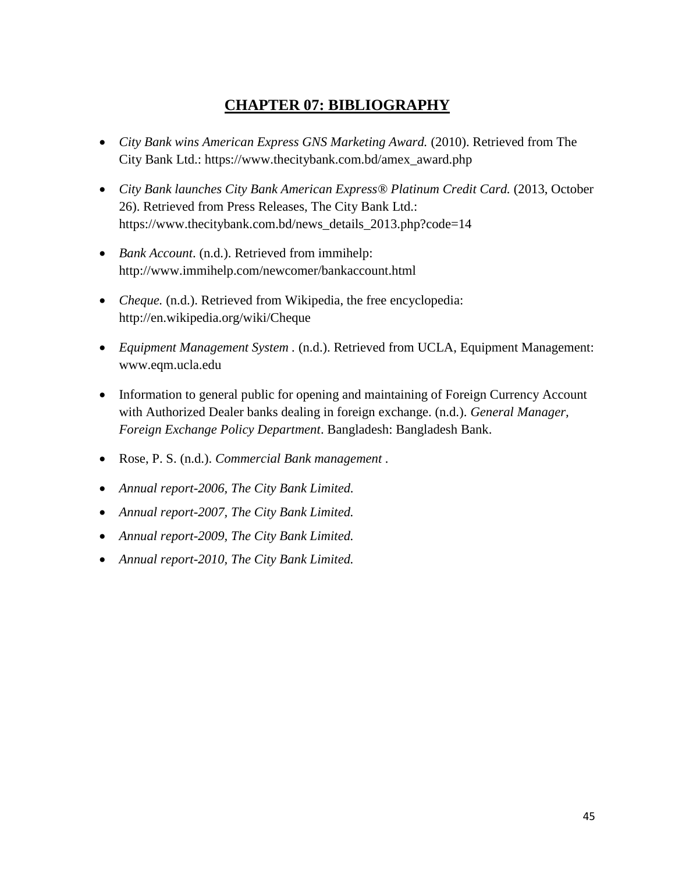### **CHAPTER 07: BIBLIOGRAPHY**

- *City Bank wins American Express GNS Marketing Award.* (2010). Retrieved from The City Bank Ltd.: https://www.thecitybank.com.bd/amex\_award.php
- *City Bank launches City Bank American Express® Platinum Credit Card.* (2013, October 26). Retrieved from Press Releases, The City Bank Ltd.: https://www.thecitybank.com.bd/news\_details\_2013.php?code=14
- *Bank Account*. (n.d.). Retrieved from immihelp: http://www.immihelp.com/newcomer/bankaccount.html
- *Cheque.* (n.d.). Retrieved from Wikipedia, the free encyclopedia: http://en.wikipedia.org/wiki/Cheque
- *Equipment Management System .* (n.d.). Retrieved from UCLA, Equipment Management: www.eqm.ucla.edu
- Information to general public for opening and maintaining of Foreign Currency Account with Authorized Dealer banks dealing in foreign exchange. (n.d.). *General Manager, Foreign Exchange Policy Department*. Bangladesh: Bangladesh Bank.
- Rose, P. S. (n.d.). *Commercial Bank management .*
- *Annual report-2006, The City Bank Limited.*
- *Annual report-2007, The City Bank Limited.*
- *Annual report-2009, The City Bank Limited.*
- *Annual report-2010, The City Bank Limited.*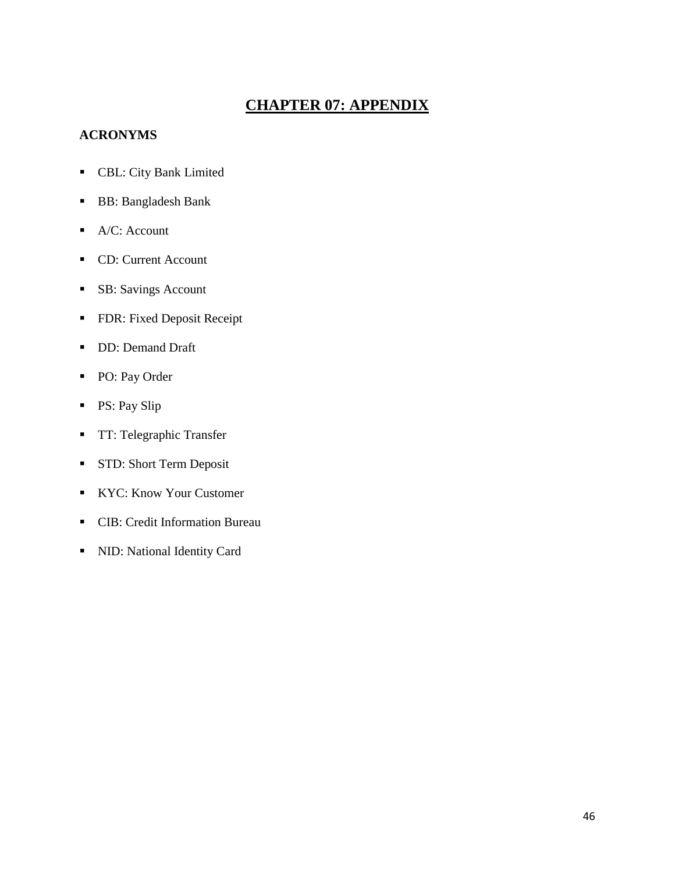## **CHAPTER 07: APPENDIX**

### **ACRONYMS**

- CBL: City Bank Limited
- BB: Bangladesh Bank
- $A/C:$  Account
- CD: Current Account
- **SB:** Savings Account
- **FDR: Fixed Deposit Receipt**
- DD: Demand Draft
- PO: Pay Order
- **PS: Pay Slip**
- **TT: Telegraphic Transfer**
- **STD: Short Term Deposit**
- KYC: Know Your Customer
- CIB: Credit Information Bureau
- NID: National Identity Card